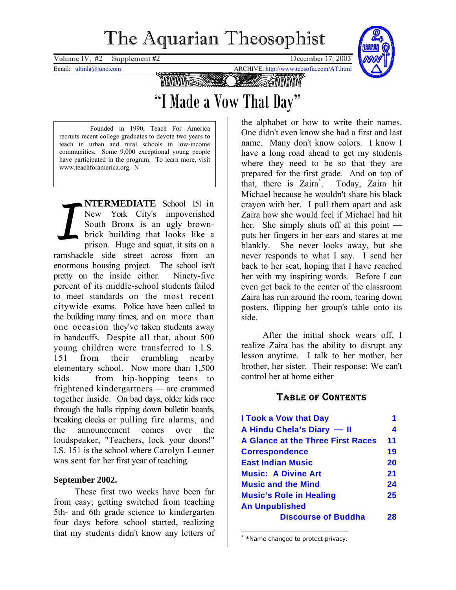# The Aquarian Theosophist

<span id="page-0-1"></span>Volume IV,  $\#2$  Supplement  $\#2$  December 17, 2003

Email: ultinla@juno.com ARCHIVE: http://www.teosofia.com/AT.html



**MUULE** 

## "I Made a Vow That Day"

 Founded in 1990, Teach For America recruits recent college graduates to devote two years to teach in urban and rural schools in low-income communities. Some 9,000 exceptional young people have participated in the program. To learn more, visit www.teachforamerica.org. N

**NTERMEDIATE** School 151 in New York City's impoverished South Bronx is an ugly brownbrick building that looks like a prison. Huge and squat, it sits on a ramshackle side street across from an enormous housing project. The school isn't pretty on the inside either. Ninety-five percent of its middle-school students failed to meet standards on the most recent citywide exams. Police have been called to the building many times, and on more than one occasion they've taken students away in handcuffs. Despite all that, about 500 young children were transferred to I.S. 151 from their crumbling nearby elementary school. Now more than 1,500 kids — from hip-hopping teens to frightened kindergartners — are crammed together inside. On bad days, older kids race through the halls ripping down bulletin boards, breaking clocks or pulling fire alarms, and the announcement comes over the loudspeaker, "Teachers, lock your doors!" I.S. 151 is the school where Carolyn Leuner was sent for her first year of teaching. *I*

#### **September 2002.**

These first two weeks have been far from easy; getting switched from teaching 5th- and 6th grade science to kindergarten four days before school started, realizing that my students didn't know any letters of

the alphabet or how to write their names. One didn't even know she had a first and last name. Many don't know colors. I know I have a long road ahead to get my students where they need to be so that they are prepared for the first grade. And on top of that, there is Zaira<sup>[\\*](#page-0-0)</sup>. . Today, Zaira hit Michael because he wouldn't share his black crayon with her. I pull them apart and ask Zaira how she would feel if Michael had hit her. She simply shuts off at this point puts her fingers in her ears and stares at me blankly. She never looks away, but she never responds to what I say. I send her back to her seat, hoping that I have reached her with my inspiring words. Before I can even get back to the center of the classroom Zaira has run around the room, tearing down posters, flipping her group's table onto its side.

After the initial shock wears off, I realize Zaira has the ability to disrupt any lesson anytime. I talk to her mother, her brother, her sister. Their response: We can't control her at home either

### TABLE OF CONTENTS

| <b>I Took a Vow that Day</b>             |    |
|------------------------------------------|----|
| A Hindu Chela's Diary - II               | 4  |
| <b>A Glance at the Three First Races</b> | 11 |
| <b>Correspondence</b>                    | 19 |
| <b>East Indian Music</b>                 | 20 |
| <b>Music: A Divine Art</b>               | 21 |
| <b>Music and the Mind</b>                | 24 |
| <b>Music's Role in Healing</b>           | 25 |
| <b>An Unpublished</b>                    |    |
| <b>Discourse of Buddha</b>               | 28 |

<span id="page-0-0"></span> $\overline{a}$ \* \*Name changed to protect privacy.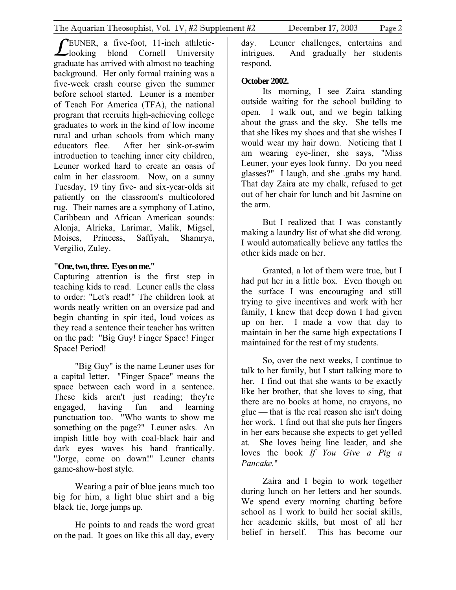EUNER, a five-foot, 11-inch athletic-**LEUNER**, a five-foot, 11-inch athletic-<br>looking blond Cornell University graduate has arrived with almost no teaching background. Her only formal training was a five-week crash course given the summer before school started. Leuner is a member of Teach For America (TFA), the national program that recruits high-achieving college graduates to work in the kind of low income rural and urban schools from which many educators flee. After her sink-or-swim introduction to teaching inner city children, Leuner worked hard to create an oasis of calm in her classroom. Now, on a sunny Tuesday, 19 tiny five- and six-year-olds sit patiently on the classroom's multicolored rug. Their names are a symphony of Latino, Caribbean and African American sounds: Alonja, Alricka, Larimar, Malik, Migsel,

Moises, Princess, Saffiyah, Shamrya, Vergilio, Zuley.

#### **"One, two, three. Eyes on me."**

Capturing attention is the first step in teaching kids to read. Leuner calls the class to order: "Let's read!" The children look at words neatly written on an oversize pad and begin chanting in spir ited, loud voices as they read a sentence their teacher has written on the pad: "Big Guy! Finger Space! Finger Space! Period!

"Big Guy" is the name Leuner uses for a capital letter. "Finger Space" means the space between each word in a sentence. These kids aren't just reading; they're engaged, having fun and learning punctuation too. "Who wants to show me something on the page?" Leuner asks. An impish little boy with coal-black hair and dark eyes waves his hand frantically. "Jorge, come on down!" Leuner chants game-show-host style.

Wearing a pair of blue jeans much too big for him, a light blue shirt and a big black tie, Jorge jumps up.

He points to and reads the word great on the pad. It goes on like this all day, every

day. Leuner challenges, entertains and intrigues. And gradually her students respond.

#### **October 2002.**

Its morning, I see Zaira standing outside waiting for the school building to open. I walk out, and we begin talking about the grass and the sky. She tells me that she likes my shoes and that she wishes I would wear my hair down. Noticing that I am wearing eye-liner, she says, "Miss Leuner, your eyes look funny. Do you need glasses?" I laugh, and she .grabs my hand. That day Zaira ate my chalk, refused to get out of her chair for lunch and bit Jasmine on the arm.

But I realized that I was constantly making a laundry list of what she did wrong. I would automatically believe any tattles the other kids made on her.

Granted, a lot of them were true, but I had put her in a little box. Even though on the surface I was encouraging and still trying to give incentives and work with her family, I knew that deep down I had given up on her. I made a vow that day to maintain in her the same high expectations I maintained for the rest of my students.

So, over the next weeks, I continue to talk to her family, but I start talking more to her. I find out that she wants to be exactly like her brother, that she loves to sing, that there are no books at home, no crayons, no glue — that is the real reason she isn't doing her work. I find out that she puts her fingers in her ears because she expects to get yelled at. She loves being line leader, and she loves the book *If You Give a Pig a Pancake.*"

Zaira and I begin to work together during lunch on her letters and her sounds. We spend every morning chatting before school as I work to build her social skills, her academic skills, but most of all her belief in herself. This has become our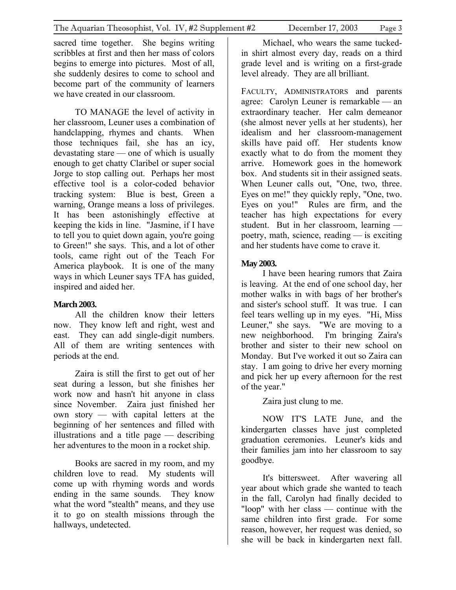sacred time together. She begins writing scribbles at first and then her mass of colors begins to emerge into pictures. Most of all, she suddenly desires to come to school and become part of the community of learners we have created in our classroom.

TO MANAGE the level of activity in her classroom, Leuner uses a combination of handclapping, rhymes and chants. When those techniques fail, she has an icy, devastating stare — one of which is usually enough to get chatty Claribel or super social Jorge to stop calling out. Perhaps her most effective tool is a color-coded behavior tracking system: Blue is best, Green a warning, Orange means a loss of privileges. It has been astonishingly effective at keeping the kids in line. "Jasmine, if I have to tell you to quiet down again, you're going to Green!" she says. This, and a lot of other tools, came right out of the Teach For America playbook. It is one of the many ways in which Leuner says TFA has guided, inspired and aided her.

#### **March 2003.**

All the children know their letters now. They know left and right, west and east. They can add single-digit numbers. All of them are writing sentences with periods at the end.

Zaira is still the first to get out of her seat during a lesson, but she finishes her work now and hasn't hit anyone in class since November. Zaira just finished her own story — with capital letters at the beginning of her sentences and filled with illustrations and a title page — describing her adventures to the moon in a rocket ship.

Books are sacred in my room, and my children love to read. My students will come up with rhyming words and words ending in the same sounds. They know what the word "stealth" means, and they use it to go on stealth missions through the hallways, undetected.

Michael, who wears the same tuckedin shirt almost every day, reads on a third grade level and is writing on a first-grade level already. They are all brilliant.

FACULTY, ADMINISTRATORS and parents agree: Carolyn Leuner is remarkable — an extraordinary teacher. Her calm demeanor (she almost never yells at her students), her idealism and her classroom-management skills have paid off. Her students know exactly what to do from the moment they arrive. Homework goes in the homework box. And students sit in their assigned seats. When Leuner calls out, "One, two, three. Eyes on me!" they quickly reply, "One, two. Eyes on you!" Rules are firm, and the teacher has high expectations for every student. But in her classroom, learning poetry, math, science, reading — is exciting and her students have come to crave it.

#### **May 2003.**

I have been hearing rumors that Zaira is leaving. At the end of one school day, her mother walks in with bags of her brother's and sister's school stuff. It was true. I can feel tears welling up in my eyes. "Hi, Miss Leuner," she says. "We are moving to a new neighborhood. I'm bringing Zaira's brother and sister to their new school on Monday. But I've worked it out so Zaira can stay. I am going to drive her every morning and pick her up every afternoon for the rest of the year."

Zaira just clung to me.

NOW IT'S LATE June, and the kindergarten classes have just completed graduation ceremonies. Leuner's kids and their families jam into her classroom to say goodbye.

It's bittersweet. After wavering all year about which grade she wanted to teach in the fall, Carolyn had finally decided to "loop" with her class — continue with the same children into first grade. For some reason, however, her request was denied, so she will be back in kindergarten next fall.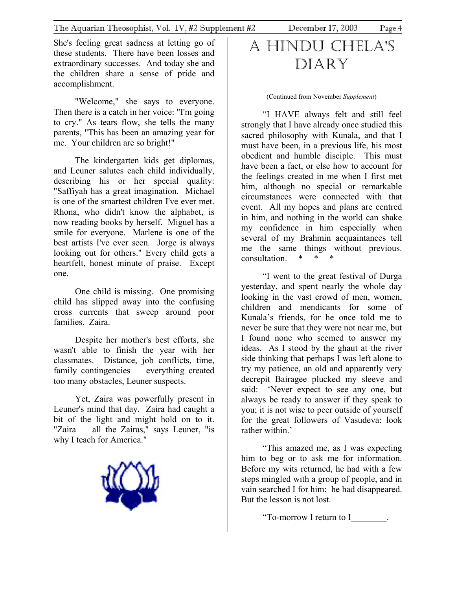<span id="page-3-0"></span>She's feeling great sadness at letting go of these students. There have been losses and extraordinary successes. And today she and the children share a sense of pride and accomplishment.

"Welcome," she says to everyone. Then there is a catch in her voice: "I'm going to cry." As tears flow, she tells the many parents, "This has been an amazing year for me. Your children are so bright!"

The kindergarten kids get diplomas, and Leuner salutes each child individually, describing his or her special quality: "Saffiyah has a great imagination. Michael is one of the smartest children I've ever met. Rhona, who didn't know the alphabet, is now reading books by herself. Miguel has a smile for everyone. Marlene is one of the best artists I've ever seen. Jorge is always looking out for others." Every child gets a heartfelt, honest minute of praise. Except one.

One child is missing. One promising child has slipped away into the confusing cross currents that sweep around poor families. Zaira.

Despite her mother's best efforts, she wasn't able to finish the year with her classmates. Distance, job conflicts, time, family contingencies — everything created too many obstacles, Leuner suspects.

Yet, Zaira was powerfully present in Leuner's mind that day. Zaira had caught a bit of the light and might hold on to it. "Zaira — all the Zairas," says Leuner, "is why I teach for America."



### A HINDU CHELA'S DIARY

(Continued from November *Supplement*)

"I HAVE always felt and still feel strongly that I have already once studied this sacred philosophy with Kunala, and that I must have been, in a previous life, his most obedient and humble disciple. This must have been a fact, or else how to account for the feelings created in me when I first met him, although no special or remarkable circumstances were connected with that event. All my hopes and plans are centred in him, and nothing in the world can shake my confidence in him especially when several of my Brahmin acquaintances tell me the same things without previous. consultation

"I went to the great festival of Durga yesterday, and spent nearly the whole day looking in the vast crowd of men, women, children and mendicants for some of Kunala's friends, for he once told me to never be sure that they were not near me, but I found none who seemed to answer my ideas. As I stood by the ghaut at the river side thinking that perhaps I was left alone to try my patience, an old and apparently very decrepit Bairagee plucked my sleeve and said: 'Never expect to see any one, but always be ready to answer if they speak to you; it is not wise to peer outside of yourself for the great followers of Vasudeva: look rather within.'

"This amazed me, as I was expecting him to beg or to ask me for information. Before my wits returned, he had with a few steps mingled with a group of people, and in vain searched I for him: he had disappeared. But the lesson is not lost.

"To-morrow I return to I\_\_\_\_\_\_\_\_.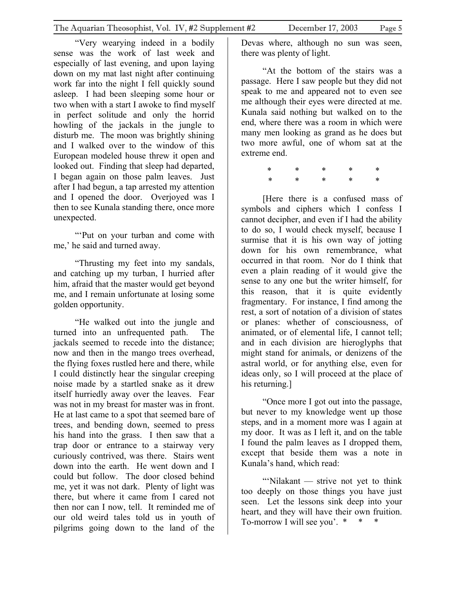"Very wearying indeed in a bodily sense was the work of last week and especially of last evening, and upon laying down on my mat last night after continuing work far into the night I fell quickly sound asleep. I had been sleeping some hour or two when with a start I awoke to find myself in perfect solitude and only the horrid howling of the jackals in the jungle to disturb me. The moon was brightly shining and I walked over to the window of this European modeled house threw it open and looked out. Finding that sleep had departed, I began again on those palm leaves. Just after I had begun, a tap arrested my attention and I opened the door. Overjoyed was I then to see Kunala standing there, once more unexpected.

"'Put on your turban and come with me,' he said and turned away.

"Thrusting my feet into my sandals, and catching up my turban, I hurried after him, afraid that the master would get beyond me, and I remain unfortunate at losing some golden opportunity.

"He walked out into the jungle and turned into an unfrequented path. The jackals seemed to recede into the distance; now and then in the mango trees overhead, the flying foxes rustled here and there, while I could distinctly hear the singular creeping noise made by a startled snake as it drew itself hurriedly away over the leaves. Fear was not in my breast for master was in front. He at last came to a spot that seemed bare of trees, and bending down, seemed to press his hand into the grass. I then saw that a trap door or entrance to a stairway very curiously contrived, was there. Stairs went down into the earth. He went down and I could but follow. The door closed behind me, yet it was not dark. Plenty of light was there, but where it came from I cared not then nor can I now, tell. It reminded me of our old weird tales told us in youth of pilgrims going down to the land of the

Devas where, although no sun was seen, there was plenty of light.

"At the bottom of the stairs was a passage. Here I saw people but they did not speak to me and appeared not to even see me although their eyes were directed at me. Kunala said nothing but walked on to the end, where there was a room in which were many men looking as grand as he does but two more awful, one of whom sat at the extreme end.

 \* \* \* \* \* \* \* \* \* \*

[Here there is a confused mass of symbols and ciphers which I confess I cannot decipher, and even if I had the ability to do so, I would check myself, because I surmise that it is his own way of jotting down for his own remembrance, what occurred in that room. Nor do I think that even a plain reading of it would give the sense to any one but the writer himself, for this reason, that it is quite evidently fragmentary. For instance, I find among the rest, a sort of notation of a division of states or planes: whether of consciousness, of animated, or of elemental life, I cannot tell; and in each division are hieroglyphs that might stand for animals, or denizens of the astral world, or for anything else, even for ideas only, so I will proceed at the place of his returning.]

"Once more I got out into the passage, but never to my knowledge went up those steps, and in a moment more was I again at my door. It was as I left it, and on the table I found the palm leaves as I dropped them, except that beside them was a note in Kunala's hand, which read:

"'Nilakant — strive not yet to think too deeply on those things you have just seen. Let the lessons sink deep into your heart, and they will have their own fruition. To-morrow I will see you'.  $*$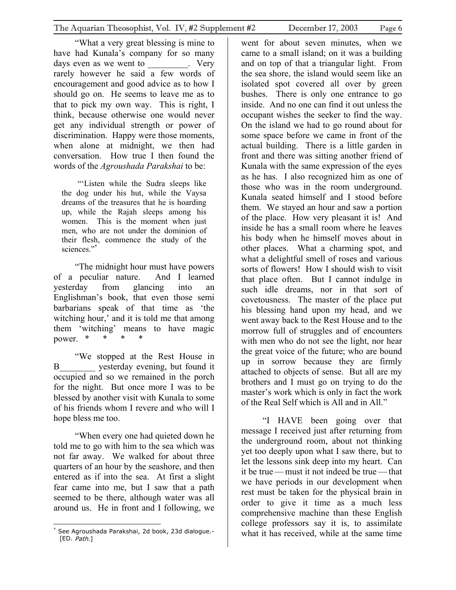"What a very great blessing is mine to have had Kunala's company for so many days even as we went to The Very rarely however he said a few words of encouragement and good advice as to how I should go on. He seems to leave me as to that to pick my own way. This is right, I think, because otherwise one would never get any individual strength or power of discrimination. Happy were those moments, when alone at midnight, we then had conversation. How true I then found the words of the *Agroushada Parakshai* to be:

"'Listen while the Sudra sleeps like the dog under his hut, while the Vaysa dreams of the treasures that he is hoarding up, while the Rajah sleeps among his women. This is the moment when just men, who are not under the dominion of their flesh, commence the study of the sciences."[\\*](#page-5-0)

"The midnight hour must have powers of a peculiar nature. And I learned yesterday from glancing into an Englishman's book, that even those semi barbarians speak of that time as 'the witching hour,' and it is told me that among them 'witching' means to have magic power.  $*$  \*

"We stopped at the Rest House in B\_\_\_\_\_\_\_\_ yesterday evening, but found it occupied and so we remained in the porch for the night. But once more I was to be blessed by another visit with Kunala to some of his friends whom I revere and who will I hope bless me too.

"When every one had quieted down he told me to go with him to the sea which was not far away. We walked for about three quarters of an hour by the seashore, and then entered as if into the sea. At first a slight fear came into me, but I saw that a path seemed to be there, although water was all around us. He in front and I following, we

went for about seven minutes, when we came to a small island; on it was a building and on top of that a triangular light. From the sea shore, the island would seem like an isolated spot covered all over by green bushes. There is only one entrance to go inside. And no one can find it out unless the occupant wishes the seeker to find the way. On the island we had to go round about for some space before we came in front of the actual building. There is a little garden in front and there was sitting another friend of Kunala with the same expression of the eyes as he has. I also recognized him as one of those who was in the room underground. Kunala seated himself and I stood before them. We stayed an hour and saw a portion of the place. How very pleasant it is! And inside he has a small room where he leaves his body when he himself moves about in other places. What a charming spot, and what a delightful smell of roses and various sorts of flowers! How I should wish to visit that place often. But I cannot indulge in such idle dreams, nor in that sort of covetousness. The master of the place put his blessing hand upon my head, and we went away back to the Rest House and to the morrow full of struggles and of encounters with men who do not see the light, nor hear the great voice of the future; who are bound up in sorrow because they are firmly attached to objects of sense. But all are my brothers and I must go on trying to do the master's work which is only in fact the work of the Real Self which is All and in All."

"I HAVE been going over that message I received just after returning from the underground room, about not thinking yet too deeply upon what I saw there, but to let the lessons sink deep into my heart. Can it be true — must it not indeed be true — that we have periods in our development when rest must be taken for the physical brain in order to give it time as a much less comprehensive machine than these English college professors say it is, to assimilate what it has received, while at the same time

<span id="page-5-0"></span> $\overline{a}$ \* See Agroushada Parakshai, 2d book, 23d dialogue.- [ED. Path.]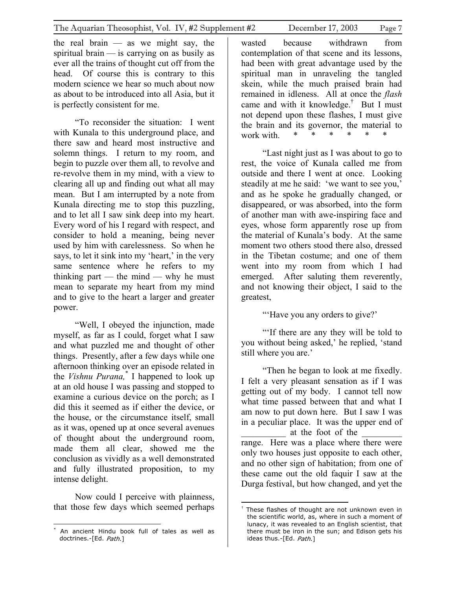the real brain  $-$  as we might say, the spiritual brain — is carrying on as busily as ever all the trains of thought cut off from the head. Of course this is contrary to this modern science we hear so much about now as about to be introduced into all Asia, but it is perfectly consistent for me.

"To reconsider the situation: I went with Kunala to this underground place, and there saw and heard most instructive and solemn things. I return to my room, and begin to puzzle over them all, to revolve and re-revolve them in my mind, with a view to clearing all up and finding out what all may mean. But I am interrupted by a note from Kunala directing me to stop this puzzling, and to let all I saw sink deep into my heart. Every word of his I regard with respect, and consider to hold a meaning, being never used by him with carelessness. So when he says, to let it sink into my 'heart,' in the very same sentence where he refers to my thinking part — the mind — why he must mean to separate my heart from my mind and to give to the heart a larger and greater power.

"Well, I obeyed the injunction, made myself, as far as I could, forget what I saw and what puzzled me and thought of other things. Presently, after a few days while one afternoon thinking over an episode related in the *Vishnu Purana,*[\\*](#page-6-0) I happened to look up at an old house I was passing and stopped to examine a curious device on the porch; as I did this it seemed as if either the device, or the house, or the circumstance itself, small as it was, opened up at once several avenues of thought about the underground room, made them all clear, showed me the conclusion as vividly as a well demonstrated and fully illustrated proposition, to my intense delight.

Now could I perceive with plainness, that those few days which seemed perhaps

wasted because withdrawn from contemplation of that scene and its lessons, had been with great advantage used by the spiritual man in unraveling the tangled skein, while the much praised brain had remained in idleness. All at once the *flash* came and with it knowledge.<sup>[†](#page-6-1)</sup> But I must not depend upon these flashes, I must give the brain and its governor, the material to work with.  $*$  \* \*

"Last night just as I was about to go to rest, the voice of Kunala called me from outside and there I went at once. Looking steadily at me he said: 'we want to see you,' and as he spoke he gradually changed, or disappeared, or was absorbed, into the form of another man with awe-inspiring face and eyes, whose form apparently rose up from the material of Kunala's body. At the same moment two others stood there also, dressed in the Tibetan costume; and one of them went into my room from which I had emerged. After saluting them reverently, and not knowing their object, I said to the greatest,

"'Have you any orders to give?'

"'If there are any they will be told to you without being asked,' he replied, 'stand still where you are.'

"Then he began to look at me fixedly. I felt a very pleasant sensation as if I was getting out of my body. I cannot tell now what time passed between that and what I am now to put down here. But I saw I was in a peculiar place. It was the upper end of \_\_\_\_\_\_\_\_\_\_ at the foot of the \_\_\_\_\_\_\_\_\_ range. Here was a place where there were only two houses just opposite to each other, and no other sign of habitation; from one of these came out the old faquir I saw at the Durga festival, but how changed, and yet the

<span id="page-6-0"></span> $\overline{a}$ An ancient Hindu book full of tales as well as doctrines.-[Ed. Path.]

<span id="page-6-1"></span><sup>1</sup> <sup>†</sup> These flashes of thought are not unknown even in the scientific world, as, where in such a moment of lunacy, it was revealed to an English scientist, that there must be iron in the sun; and Edison gets his ideas thus.-[Ed. Path.]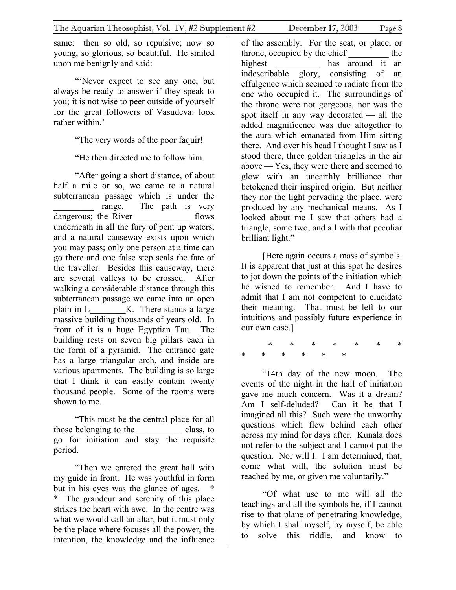same: then so old, so repulsive; now so young, so glorious, so beautiful. He smiled upon me benignly and said:

"'Never expect to see any one, but always be ready to answer if they speak to you; it is not wise to peer outside of yourself for the great followers of Vasudeva: look rather within<sup>'</sup>

"The very words of the poor faquir!

"He then directed me to follow him.

"After going a short distance, of about half a mile or so, we came to a natural subterranean passage which is under the range. The path is very dangerous; the River \_\_\_\_\_\_\_\_\_\_\_\_\_\_ flows underneath in all the fury of pent up waters, and a natural causeway exists upon which you may pass; only one person at a time can go there and one false step seals the fate of the traveller. Besides this causeway, there are several valleys to be crossed. After walking a considerable distance through this subterranean passage we came into an open plain in L\_\_\_\_\_\_\_\_K. There stands a large massive building thousands of years old. In front of it is a huge Egyptian Tau. The building rests on seven big pillars each in the form of a pyramid. The entrance gate has a large triangular arch, and inside are various apartments. The building is so large that I think it can easily contain twenty thousand people. Some of the rooms were shown to me.

"This must be the central place for all those belonging to the class, to go for initiation and stay the requisite period.

"Then we entered the great hall with my guide in front. He was youthful in form but in his eyes was the glance of ages. \* The grandeur and serenity of this place strikes the heart with awe. In the centre was what we would call an altar, but it must only be the place where focuses all the power, the intention, the knowledge and the influence

of the assembly. For the seat, or place, or throne, occupied by the chief \_\_\_\_\_\_\_\_\_ the highest has around it an indescribable glory, consisting of an effulgence which seemed to radiate from the one who occupied it. The surroundings of the throne were not gorgeous, nor was the spot itself in any way decorated — all the added magnificence was due altogether to the aura which emanated from Him sitting there. And over his head I thought I saw as I stood there, three golden triangles in the air above — Yes, they were there and seemed to glow with an unearthly brilliance that betokened their inspired origin. But neither they nor the light pervading the place, were produced by any mechanical means. As I looked about me I saw that others had a triangle, some two, and all with that peculiar brilliant light."

[Here again occurs a mass of symbols. It is apparent that just at this spot he desires to jot down the points of the initiation which he wished to remember. And I have to admit that I am not competent to elucidate their meaning. That must be left to our intuitions and possibly future experience in our own case.]

\* \* \* \* \* \* \* \* \* \* \* \* \*

"14th day of the new moon. The events of the night in the hall of initiation gave me much concern. Was it a dream? Am I self-deluded? Can it be that I imagined all this? Such were the unworthy questions which flew behind each other across my mind for days after. Kunala does not refer to the subject and I cannot put the question. Nor will I. I am determined, that, come what will, the solution must be reached by me, or given me voluntarily."

"Of what use to me will all the teachings and all the symbols be, if I cannot rise to that plane of penetrating knowledge, by which I shall myself, by myself, be able to solve this riddle, and know to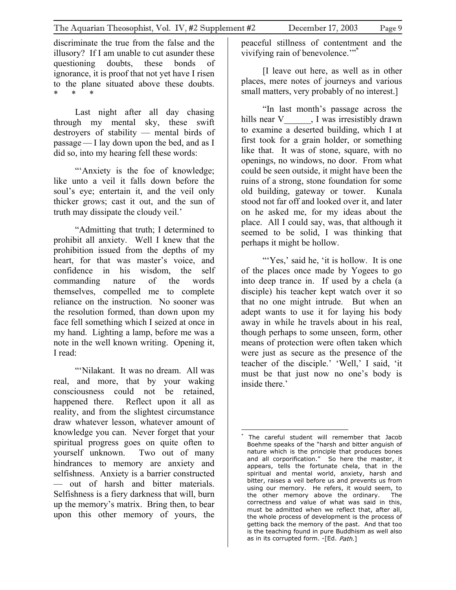discriminate the true from the false and the illusory? If I am unable to cut asunder these questioning doubts, these bonds of ignorance, it is proof that not yet have I risen to the plane situated above these doubts. \* \* \*

Last night after all day chasing through my mental sky, these swift destroyers of stability — mental birds of passage — I lay down upon the bed, and as I did so, into my hearing fell these words:

"'Anxiety is the foe of knowledge: like unto a veil it falls down before the soul's eye; entertain it, and the veil only thicker grows; cast it out, and the sun of truth may dissipate the cloudy veil.'

"Admitting that truth; I determined to prohibit all anxiety. Well I knew that the prohibition issued from the depths of my heart, for that was master's voice, and confidence in his wisdom, the self commanding nature of the words themselves, compelled me to complete reliance on the instruction. No sooner was the resolution formed, than down upon my face fell something which I seized at once in my hand. Lighting a lamp, before me was a note in the well known writing. Opening it, I read:

"'Nilakant. It was no dream. All was real, and more, that by your waking consciousness could not be retained, happened there. Reflect upon it all as reality, and from the slightest circumstance draw whatever lesson, whatever amount of knowledge you can. Never forget that your spiritual progress goes on quite often to yourself unknown. Two out of many hindrances to memory are anxiety and selfishness. Anxiety is a barrier constructed — out of harsh and bitter materials. Selfishness is a fiery darkness that will, burn up the memory's matrix. Bring then, to bear upon this other memory of yours, the

peaceful stillness of contentment and the vivifying rain of benevolence."<sup>\*\*</sup>

[I leave out here, as well as in other places, mere notes of journeys and various small matters, very probably of no interest.]

"In last month's passage across the hills near V \_\_\_\_\_\_, I was irresistibly drawn to examine a deserted building, which I at first took for a grain holder, or something like that. It was of stone, square, with no openings, no windows, no door. From what could be seen outside, it might have been the ruins of a strong, stone foundation for some old building, gateway or tower. Kunala stood not far off and looked over it, and later on he asked me, for my ideas about the place. All I could say, was, that although it seemed to be solid, I was thinking that perhaps it might be hollow.

"'Yes,' said he, 'it is hollow. It is one of the places once made by Yogees to go into deep trance in. If used by a chela (a disciple) his teacher kept watch over it so that no one might intrude. But when an adept wants to use it for laying his body away in while he travels about in his real, though perhaps to some unseen, form, other means of protection were often taken which were just as secure as the presence of the teacher of the disciple.' 'Well,' I said, 'it must be that just now no one's body is inside there.<sup>'</sup>

<span id="page-8-0"></span> $\overline{a}$ \* The careful student will remember that Jacob Boehme speaks of the "harsh and bitter anguish of nature which is the principle that produces bones and all corporification." So here the master, it appears, tells the fortunate chela, that in the spiritual and mental world, anxiety, harsh and bitter, raises a veil before us and prevents us from using our memory. He refers, it would seem, to the other memory above the ordinary. The correctness and value of what was said in this, must be admitted when we reflect that, after all, the whole process of development is the process of getting back the memory of the past. And that too is the teaching found in pure Buddhism as well also as in its corrupted form. -[Ed. Path.]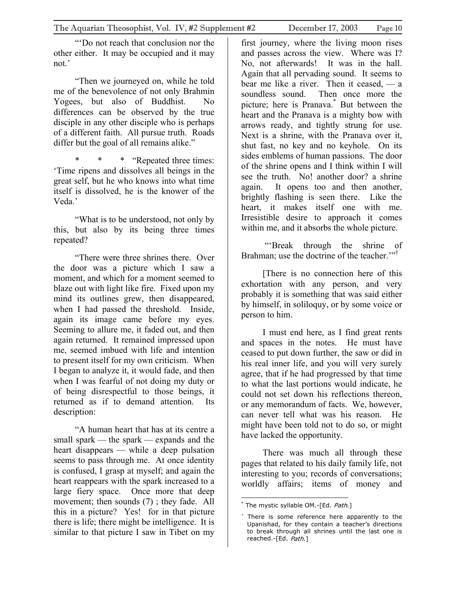"'Do not reach that conclusion nor the other either. It may be occupied and it may not.'

"Then we journeyed on, while he told me of the benevolence of not only Brahmin Yogees, but also of Buddhist. No differences can be observed by the true disciple in any other disciple who is perhaps of a different faith. All pursue truth. Roads differ but the goal of all remains alike."

\* \* \* "Repeated three times: 'Time ripens and dissolves all beings in the great self, but he who knows into what time itself is dissolved, he is the knower of the Veda.'

"What is to be understood, not only by this, but also by its being three times repeated?

"There were three shrines there. Over the door was a picture which I saw a moment, and which for a moment seemed to blaze out with light like fire. Fixed upon my mind its outlines grew, then disappeared, when I had passed the threshold. Inside, again its image came before my eyes. Seeming to allure me, it faded out, and then again returned. It remained impressed upon me, seemed imbued with life and intention to present itself for my own criticism. When I began to analyze it, it would fade, and then when I was fearful of not doing my duty or of being disrespectful to those beings, it returned as if to demand attention. Its description:

"A human heart that has at its centre a small spark — the spark — expands and the heart disappears — while a deep pulsation seems to pass through me. At once identity is confused, I grasp at myself; and again the heart reappears with the spark increased to a large fiery space. Once more that deep movement; then sounds (7); they fade. All this in a picture? Yes! for in that picture there is life; there might be intelligence. It is similar to that picture I saw in Tibet on my

first journey, where the living moon rises and passes across the view. Where was I? No, not afterwards! It was in the hall. Again that all pervading sound. It seems to bear me like a river. Then it ceased, — a soundless sound. Then once more the picture; here is Pranava.[\\*](#page-9-0) But between the heart and the Pranava is a mighty bow with arrows ready, and tightly strung for use. Next is a shrine, with the Pranava over it, shut fast, no key and no keyhole. On its sides emblems of human passions. The door of the shrine opens and I think within I will see the truth. No! another door? a shrine again. It opens too and then another, brightly flashing is seen there. Like the heart, it makes itself one with me. Irresistible desire to approach it comes within me, and it absorbs the whole picture.

 "'Break through the shrine of Brahman; use the doctrine of the teacher."<sup>1</sup>

[There is no connection here of this exhortation with any person, and very probably it is something that was said either by himself, in soliloquy, or by some voice or person to him.

I must end here, as I find great rents and spaces in the notes. He must have ceased to put down further, the saw or did in his real inner life, and you will very surely agree, that if he had progressed by that time to what the last portions would indicate, he could not set down his reflections thereon, or any memorandum of facts. We, however, can never tell what was his reason. He might have been told not to do so, or might have lacked the opportunity.

There was much all through these pages that related to his daily family life, not interesting to you; records of conversations; worldly affairs; items of money and

<span id="page-9-0"></span> $\overline{a}$ \* The mystic syllable OM.-[Ed. Path.]

<span id="page-9-1"></span>There is some reference here apparently to the Upanishad, for they contain a teacher's directions to break through all shrines until the last one is reached.-[Ed. Path.]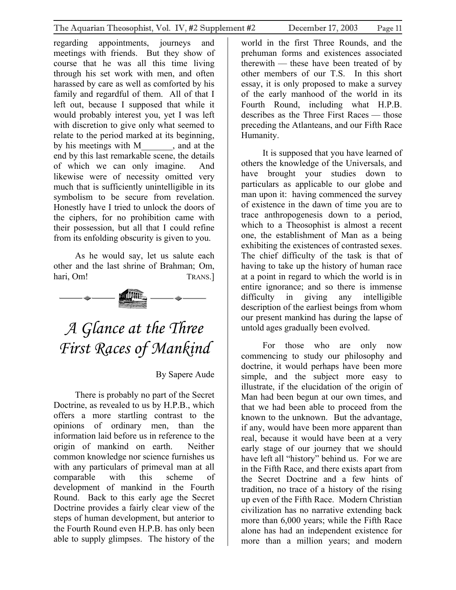<span id="page-10-0"></span>regarding appointments, journeys and meetings with friends. But they show of course that he was all this time living through his set work with men, and often harassed by care as well as comforted by his family and regardful of them. All of that I left out, because I supposed that while it would probably interest you, yet I was left with discretion to give only what seemed to relate to the period marked at its beginning,<br>by his meetings with M and at the by his meetings with M end by this last remarkable scene, the details of which we can only imagine. And likewise were of necessity omitted very much that is sufficiently unintelligible in its symbolism to be secure from revelation. Honestly have I tried to unlock the doors of the ciphers, for no prohibition came with their possession, but all that I could refine from its enfolding obscurity is given to you.

As he would say, let us salute each other and the last shrine of Brahman; Om, hari, Om! TRANS.]



## *A Glance at the Three First Races of Mankind*

### By Sapere Aude

There is probably no part of the Secret Doctrine, as revealed to us by H.P.B., which offers a more startling contrast to the opinions of ordinary men, than the information laid before us in reference to the origin of mankind on earth. Neither common knowledge nor science furnishes us with any particulars of primeval man at all comparable with this scheme of development of mankind in the Fourth Round. Back to this early age the Secret Doctrine provides a fairly clear view of the steps of human development, but anterior to the Fourth Round even H.P.B. has only been able to supply glimpses. The history of the

world in the first Three Rounds, and the prehuman forms and existences associated therewith — these have been treated of by other members of our T.S. In this short essay, it is only proposed to make a survey of the early manhood of the world in its Fourth Round, including what H.P.B. describes as the Three First Races — those preceding the Atlanteans, and our Fifth Race Humanity.

It is supposed that you have learned of others the knowledge of the Universals, and have brought your studies down to particulars as applicable to our globe and man upon it: having commenced the survey of existence in the dawn of time you are to trace anthropogenesis down to a period, which to a Theosophist is almost a recent one, the establishment of Man as a being exhibiting the existences of contrasted sexes. The chief difficulty of the task is that of having to take up the history of human race at a point in regard to which the world is in entire ignorance; and so there is immense difficulty in giving any intelligible description of the earliest beings from whom our present mankind has during the lapse of untold ages gradually been evolved.

For those who are only now commencing to study our philosophy and doctrine, it would perhaps have been more simple, and the subject more easy to illustrate, if the elucidation of the origin of Man had been begun at our own times, and that we had been able to proceed from the known to the unknown. But the advantage, if any, would have been more apparent than real, because it would have been at a very early stage of our journey that we should have left all "history" behind us. For we are in the Fifth Race, and there exists apart from the Secret Doctrine and a few hints of tradition, no trace of a history of the rising up even of the Fifth Race. Modern Christian civilization has no narrative extending back more than 6,000 years; while the Fifth Race alone has had an independent existence for more than a million years; and modern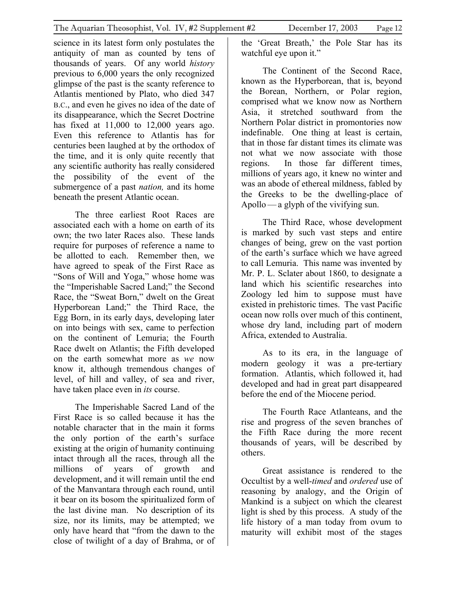science in its latest form only postulates the antiquity of man as counted by tens of thousands of years. Of any world *history* previous to 6,000 years the only recognized glimpse of the past is the scanty reference to Atlantis mentioned by Plato, who died 347 B.C., and even he gives no idea of the date of its disappearance, which the Secret Doctrine has fixed at 11,000 to 12,000 years ago. Even this reference to Atlantis has for centuries been laughed at by the orthodox of the time, and it is only quite recently that any scientific authority has really considered the possibility of the event of the submergence of a past *nation,* and its home beneath the present Atlantic ocean.

The three earliest Root Races are associated each with a home on earth of its own; the two later Races also. These lands require for purposes of reference a name to be allotted to each. Remember then, we have agreed to speak of the First Race as "Sons of Will and Yoga," whose home was the "Imperishable Sacred Land;" the Second Race, the "Sweat Born," dwelt on the Great Hyperborean Land;" the Third Race, the Egg Born, in its early days, developing later on into beings with sex, came to perfection on the continent of Lemuria; the Fourth Race dwelt on Atlantis; the Fifth developed on the earth somewhat more as *we* now know it, although tremendous changes of level, of hill and valley, of sea and river, have taken place even in *its* course.

The Imperishable Sacred Land of the First Race is so called because it has the notable character that in the main it forms the only portion of the earth's surface existing at the origin of humanity continuing intact through all the races, through all the millions of years of growth and development, and it will remain until the end of the Manvantara through each round, until it bear on its bosom the spiritualized form of the last divine man. No description of its size, nor its limits, may be attempted; we only have heard that "from the dawn to the close of twilight of a day of Brahma, or of the 'Great Breath,' the Pole Star has its watchful eye upon it."

The Continent of the Second Race, known as the Hyperborean, that is, beyond the Borean, Northern, or Polar region, comprised what we know now as Northern Asia, it stretched southward from the Northern Polar district in promontories now indefinable. One thing at least is certain, that in those far distant times its climate was not what we now associate with those regions. In those far different times, millions of years ago, it knew no winter and was an abode of ethereal mildness, fabled by the Greeks to be the dwelling-place of Apollo—a glyph of the vivifying sun.

The Third Race, whose development is marked by such vast steps and entire changes of being, grew on the vast portion of the earth's surface which we have agreed to call Lemuria. This name was invented by Mr. P. L. Sclater about 1860, to designate a land which his scientific researches into Zoology led him to suppose must have existed in prehistoric times. The vast Pacific ocean now rolls over much of this continent, whose dry land, including part of modern Africa, extended to Australia.

As to its era, in the language of modern geology it was a pre-tertiary formation. Atlantis, which followed it, had developed and had in great part disappeared before the end of the Miocene period.

The Fourth Race Atlanteans, and the rise and progress of the seven branches of the Fifth Race during the more recent thousands of years, will be described by others.

Great assistance is rendered to the Occultist by a well-*timed* and *ordered* use of reasoning by analogy, and the Origin of Mankind is a subject on which the clearest light is shed by this process. A study of the life history of a man today from ovum to maturity will exhibit most of the stages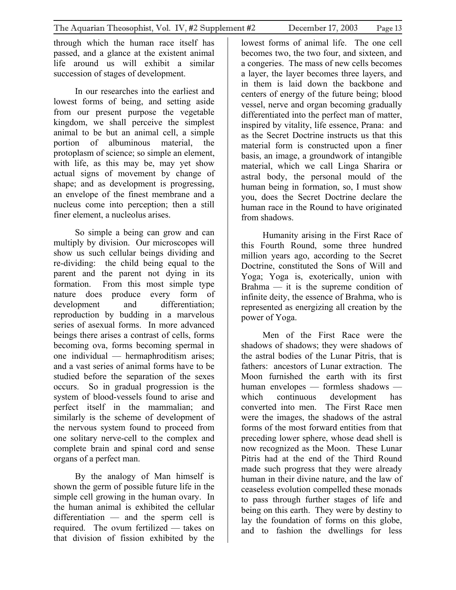through which the human race itself has passed, and a glance at the existent animal life around us will exhibit a similar succession of stages of development.

In our researches into the earliest and lowest forms of being, and setting aside from our present purpose the vegetable kingdom, we shall perceive the simplest animal to be but an animal cell, a simple portion of albuminous material, the protoplasm of science; so simple an element, with life, as this may be, may yet show actual signs of movement by change of shape; and as development is progressing, an envelope of the finest membrane and a nucleus come into perception; then a still finer element, a nucleolus arises.

So simple a being can grow and can multiply by division. Our microscopes will show us such cellular beings dividing and re-dividing: the child being equal to the parent and the parent not dying in its formation. From this most simple type nature does produce every form of development and differentiation; reproduction by budding in a marvelous series of asexual forms. In more advanced beings there arises a contrast of cells, forms becoming ova, forms becoming spermal in one individual — hermaphroditism arises; and a vast series of animal forms have to be studied before the separation of the sexes occurs. So in gradual progression is the system of blood-vessels found to arise and perfect itself in the mammalian; and similarly is the scheme of development of the nervous system found to proceed from one solitary nerve-cell to the complex and complete brain and spinal cord and sense organs of a perfect man.

By the analogy of Man himself is shown the germ of possible future life in the simple cell growing in the human ovary. In the human animal is exhibited the cellular differentiation — and the sperm cell is required. The ovum fertilized — takes on that division of fission exhibited by the

lowest forms of animal life. The one cell becomes two, the two four, and sixteen, and a congeries. The mass of new cells becomes a layer, the layer becomes three layers, and in them is laid down the backbone and centers of energy of the future being; blood vessel, nerve and organ becoming gradually differentiated into the perfect man of matter, inspired by vitality, life essence, Prana: and as the Secret Doctrine instructs us that this material form is constructed upon a finer basis, an image, a groundwork of intangible material, which we call Linga Sharira or astral body, the personal mould of the human being in formation, so, I must show you, does the Secret Doctrine declare the human race in the Round to have originated from shadows.

Humanity arising in the First Race of this Fourth Round, some three hundred million years ago, according to the Secret Doctrine, constituted the Sons of Will and Yoga; Yoga is, exoterically, union with Brahma  $-$  it is the supreme condition of infinite deity, the essence of Brahma, who is represented as energizing all creation by the power of Yoga.

Men of the First Race were the shadows of shadows; they were shadows of the astral bodies of the Lunar Pitris, that is fathers: ancestors of Lunar extraction. The Moon furnished the earth with its first human envelopes — formless shadows which continuous development has converted into men. The First Race men were the images, the shadows of the astral forms of the most forward entities from that preceding lower sphere, whose dead shell is now recognized as the Moon. These Lunar Pitris had at the end of the Third Round made such progress that they were already human in their divine nature, and the law of ceaseless evolution compelled these monads to pass through further stages of life and being on this earth. They were by destiny to lay the foundation of forms on this globe, and to fashion the dwellings for less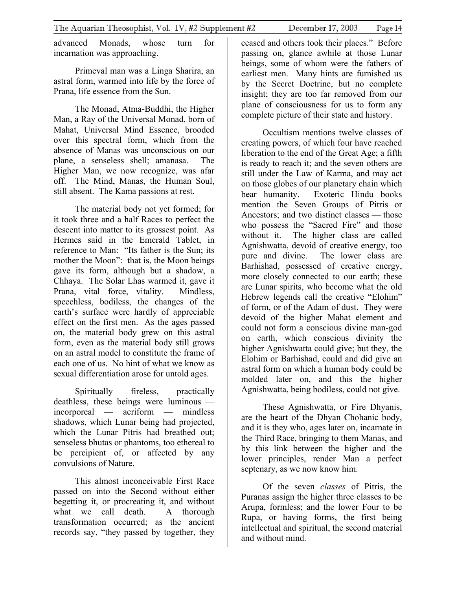advanced Monads, whose turn for incarnation was approaching.

Primeval man was a Linga Sharira, an astral form, warmed into life by the force of Prana, life essence from the Sun.

The Monad, Atma-Buddhi, the Higher Man, a Ray of the Universal Monad, born of Mahat, Universal Mind Essence, brooded over this spectral form, which from the absence of Manas was unconscious on our plane, a senseless shell; amanasa. The Higher Man, we now recognize, was afar off. The Mind, Manas, the Human Soul, still absent. The Kama passions at rest.

The material body not yet formed; for it took three and a half Races to perfect the descent into matter to its grossest point. As Hermes said in the Emerald Tablet, in reference to Man: "Its father is the Sun; its mother the Moon": that is, the Moon beings gave its form, although but a shadow, a Chhaya. The Solar Lhas warmed it, gave it Prana, vital force, vitality. Mindless, speechless, bodiless, the changes of the earth's surface were hardly of appreciable effect on the first men. As the ages passed on, the material body grew on this astral form, even as the material body still grows on an astral model to constitute the frame of each one of us. No hint of what we know as sexual differentiation arose for untold ages.

Spiritually fireless, practically deathless, these beings were luminous incorporeal — aeriform — mindless shadows, which Lunar being had projected, which the Lunar Pitris had breathed out; senseless bhutas or phantoms, too ethereal to be percipient of, or affected by any convulsions of Nature.

This almost inconceivable First Race passed on into the Second without either begetting it, or procreating it, and without what we call death. A thorough transformation occurred; as the ancient records say, "they passed by together, they

ceased and others took their places." Before passing on, glance awhile at those Lunar beings, some of whom were the fathers of earliest men. Many hints are furnished us by the Secret Doctrine, but no complete insight; they are too far removed from our plane of consciousness for us to form any complete picture of their state and history.

Occultism mentions twelve classes of creating powers, of which four have reached liberation to the end of the Great Age; a fifth is ready to reach it; and the seven others are still under the Law of Karma, and may act on those globes of our planetary chain which bear humanity. Exoteric Hindu books mention the Seven Groups of Pitris or Ancestors; and two distinct classes — those who possess the "Sacred Fire" and those without it. The higher class are called Agnishwatta, devoid of creative energy, too pure and divine. The lower class are Barhishad, possessed of creative energy, more closely connected to our earth; these are Lunar spirits, who become what the old Hebrew legends call the creative "Elohim" of form, or of the Adam of dust. They were devoid of the higher Mahat element and could not form a conscious divine man-god on earth, which conscious divinity the higher Agnishwatta could give; but they, the Elohim or Barhishad, could and did give an astral form on which a human body could be molded later on, and this the higher Agnishwatta, being bodiless, could not give.

These Agnishwatta, or Fire Dhyanis, are the heart of the Dhyan Chohanic body, and it is they who, ages later on, incarnate in the Third Race, bringing to them Manas, and by this link between the higher and the lower principles, render Man a perfect septenary, as we now know him.

Of the seven *classes* of Pitris, the Puranas assign the higher three classes to be Arupa, formless; and the lower Four to be Rupa, or having forms, the first being intellectual and spiritual, the second material and without mind.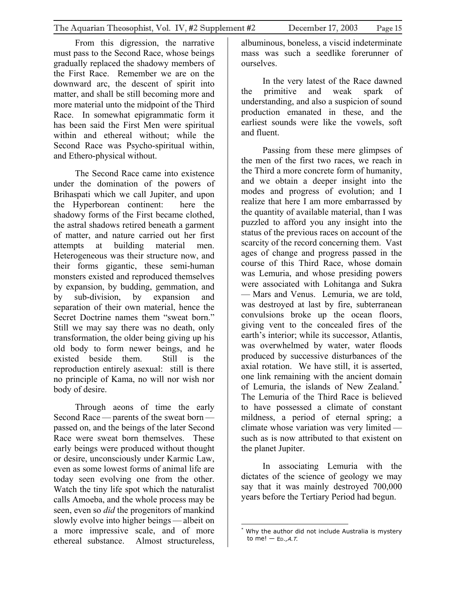From this digression, the narrative must pass to the Second Race, whose beings gradually replaced the shadowy members of the First Race. Remember we are on the downward arc, the descent of spirit into matter, and shall be still becoming more and more material unto the midpoint of the Third Race. In somewhat epigrammatic form it has been said the First Men were spiritual within and ethereal without; while the Second Race was Psycho-spiritual within, and Ethero-physical without.

The Second Race came into existence under the domination of the powers of Brihaspati which we call Jupiter, and upon the Hyperborean continent: here the shadowy forms of the First became clothed, the astral shadows retired beneath a garment of matter, and nature carried out her first attempts at building material men. Heterogeneous was their structure now, and their forms gigantic, these semi-human monsters existed and reproduced themselves by expansion, by budding, gemmation, and by sub-division, by expansion and separation of their own material, hence the Secret Doctrine names them "sweat born." Still we may say there was no death, only transformation, the older being giving up his old body to form newer beings, and he existed beside them. Still is the reproduction entirely asexual: still is there no principle of Kama, no will nor wish nor body of desire.

Through aeons of time the early Second Race — parents of the sweat born passed on, and the beings of the later Second Race were sweat born themselves. These early beings were produced without thought or desire, unconsciously under Karmic Law, even as some lowest forms of animal life are today seen evolving one from the other. Watch the tiny life spot which the naturalist calls Amoeba, and the whole process may be seen, even so *did* the progenitors of mankind slowly evolve into higher beings — albeit on a more impressive scale, and of more ethereal substance. Almost structureless,

albuminous, boneless, a viscid indeterminate mass was such a seedlike forerunner of ourselves.

In the very latest of the Race dawned the primitive and weak spark of understanding, and also a suspicion of sound production emanated in these, and the earliest sounds were like the vowels, soft and fluent.

Passing from these mere glimpses of the men of the first two races, we reach in the Third a more concrete form of humanity, and we obtain a deeper insight into the modes and progress of evolution; and I realize that here I am more embarrassed by the quantity of available material, than I was puzzled to afford you any insight into the status of the previous races on account of the scarcity of the record concerning them. Vast ages of change and progress passed in the course of this Third Race, whose domain was Lemuria, and whose presiding powers were associated with Lohitanga and Sukra — Mars and Venus. Lemuria, we are told, was destroyed at last by fire, subterranean convulsions broke up the ocean floors, giving vent to the concealed fires of the earth's interior; while its successor, Atlantis, was overwhelmed by water, water floods produced by successive disturbances of the axial rotation. We have still, it is asserted, one link remaining with the ancient domain of Lemuria, the islands of New Zealand[.\\*](#page-14-0) The Lemuria of the Third Race is believed to have possessed a climate of constant mildness, a period of eternal spring; a climate whose variation was very limited such as is now attributed to that existent on the planet Jupiter.

In associating Lemuria with the dictates of the science of geology we may say that it was mainly destroyed 700,000 years before the Tertiary Period had begun.

<span id="page-14-0"></span> $\overline{a}$ \* Why the author did not include Australia is mystery to me!  $-$  Ep., A, T,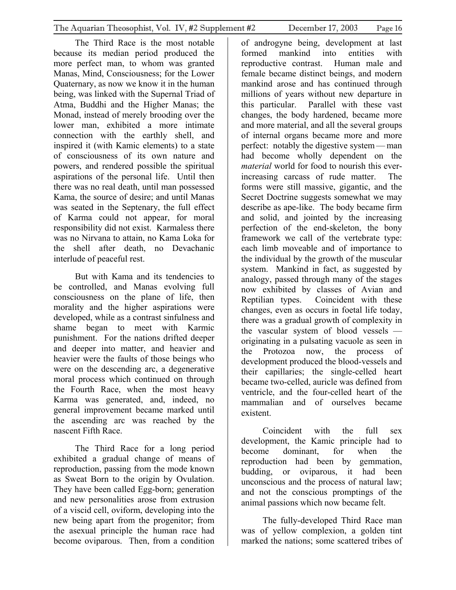The Third Race is the most notable because its median period produced the more perfect man, to whom was granted Manas, Mind, Consciousness; for the Lower Quaternary, as now we know it in the human being, was linked with the Supernal Triad of Atma, Buddhi and the Higher Manas; the Monad, instead of merely brooding over the lower man, exhibited a more intimate connection with the earthly shell, and inspired it (with Kamic elements) to a state of consciousness of its own nature and powers, and rendered possible the spiritual aspirations of the personal life. Until then there was no real death, until man possessed Kama, the source of desire; and until Manas was seated in the Septenary, the full effect of Karma could not appear, for moral responsibility did not exist. Karmaless there was no Nirvana to attain, no Kama Loka for the shell after death, no Devachanic interlude of peaceful rest.

But with Kama and its tendencies to be controlled, and Manas evolving full consciousness on the plane of life, then morality and the higher aspirations were developed, while as a contrast sinfulness and shame began to meet with Karmic punishment. For the nations drifted deeper and deeper into matter, and heavier and heavier were the faults of those beings who were on the descending arc, a degenerative moral process which continued on through the Fourth Race, when the most heavy Karma was generated, and, indeed, no general improvement became marked until the ascending arc was reached by the nascent Fifth Race.

The Third Race for a long period exhibited a gradual change of means of reproduction, passing from the mode known as Sweat Born to the origin by Ovulation. They have been called Egg-born; generation and new personalities arose from extrusion of a viscid cell, oviform, developing into the new being apart from the progenitor; from the asexual principle the human race had become oviparous. Then, from a condition

of androgyne being, development at last formed mankind into entities with reproductive contrast. Human male and female became distinct beings, and modern mankind arose and has continued through millions of years without new departure in this particular. Parallel with these vast changes, the body hardened, became more and more material, and all the several groups of internal organs became more and more perfect: notably the digestive system— man had become wholly dependent on the *material* world for food to nourish this everincreasing carcass of rude matter. The forms were still massive, gigantic, and the Secret Doctrine suggests somewhat we may describe as ape-like. The body became firm and solid, and jointed by the increasing perfection of the end-skeleton, the bony framework we call of the vertebrate type: each limb moveable and of importance to the individual by the growth of the muscular system. Mankind in fact, as suggested by analogy, passed through many of the stages now exhibited by classes of Avian and Reptilian types. Coincident with these changes, even as occurs in foetal life today, there was a gradual growth of complexity in the vascular system of blood vessels originating in a pulsating vacuole as seen in the Protozoa now, the process of development produced the blood-vessels and their capillaries; the single-celled heart became two-celled, auricle was defined from ventricle, and the four-celled heart of the mammalian and of ourselves became existent.

Coincident with the full sex development, the Kamic principle had to become dominant, for when the reproduction had been by gemmation, budding, or oviparous, it had been unconscious and the process of natural law; and not the conscious promptings of the animal passions which now became felt.

The fully-developed Third Race man was of yellow complexion, a golden tint marked the nations; some scattered tribes of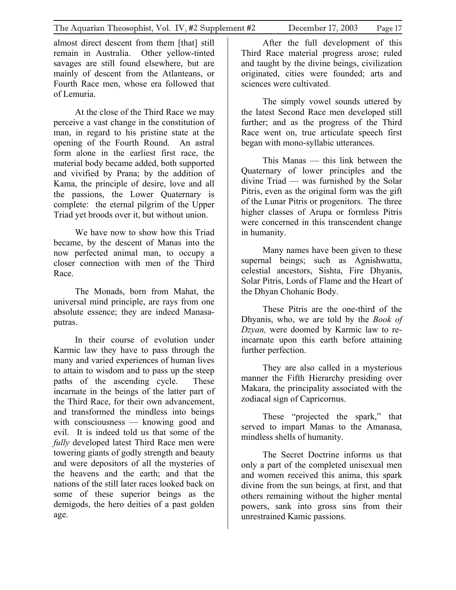almost direct descent from them [that] still remain in Australia. Other yellow-tinted savages are still found elsewhere, but are mainly of descent from the Atlanteans, or Fourth Race men, whose era followed that of Lemuria.

At the close of the Third Race we may perceive a vast change in the constitution of man, in regard to his pristine state at the opening of the Fourth Round. An astral form alone in the earliest first race, the material body became added, both supported and vivified by Prana; by the addition of Kama, the principle of desire, love and all the passions, the Lower Quaternary is complete: the eternal pilgrim of the Upper Triad yet broods over it, but without union.

We have now to show how this Triad became, by the descent of Manas into the now perfected animal man, to occupy a closer connection with men of the Third Race.

The Monads, born from Mahat, the universal mind principle, are rays from one absolute essence; they are indeed Manasaputras.

In their course of evolution under Karmic law they have to pass through the many and varied experiences of human lives to attain to wisdom and to pass up the steep paths of the ascending cycle. These incarnate in the beings of the latter part of the Third Race, for their own advancement, and transformed the mindless into beings with consciousness — knowing good and evil. It is indeed told us that some of the *fully* developed latest Third Race men were towering giants of godly strength and beauty and were depositors of all the mysteries of the heavens and the earth; and that the nations of the still later races looked back on some of these superior beings as the demigods, the hero deities of a past golden age.

After the full development of this Third Race material progress arose; ruled and taught by the divine beings, civilization originated, cities were founded; arts and sciences were cultivated.

The simply vowel sounds uttered by the latest Second Race men developed still further; and as the progress of the Third Race went on, true articulate speech first began with mono-syllabic utterances.

This Manas — this link between the Quaternary of lower principles and the divine Triad — was furnished by the Solar Pitris, even as the original form was the gift of the Lunar Pitris or progenitors. The three higher classes of Arupa or formless Pitris were concerned in this transcendent change in humanity.

Many names have been given to these supernal beings; such as Agnishwatta, celestial ancestors, Sishta, Fire Dhyanis, Solar Pitris, Lords of Flame and the Heart of the Dhyan Chohanic Body.

These Pitris are the one-third of the Dhyanis, who, we are told by the *Book of Dzyan,* were doomed by Karmic law to reincarnate upon this earth before attaining further perfection.

They are also called in a mysterious manner the Fifth Hierarchy presiding over Makara, the principality associated with the zodiacal sign of Capricornus.

These "projected the spark," that served to impart Manas to the Amanasa, mindless shells of humanity.

The Secret Doctrine informs us that only a part of the completed unisexual men and women received this anima, this spark divine from the sun beings, at first, and that others remaining without the higher mental powers, sank into gross sins from their unrestrained Kamic passions.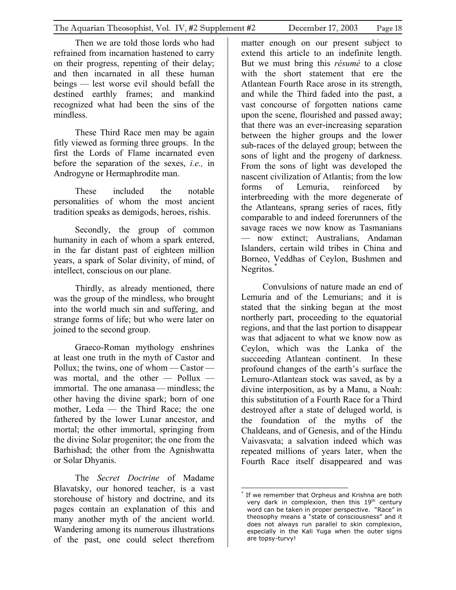Then we are told those lords who had refrained from incarnation hastened to carry on their progress, repenting of their delay; and then incarnated in all these human beings — lest worse evil should befall the destined earthly frames; and mankind recognized what had been the sins of the mindless.

These Third Race men may be again fitly viewed as forming three groups. In the first the Lords of Flame incarnated even before the separation of the sexes, *i.e.,* in Androgyne or Hermaphrodite man.

These included the notable personalities of whom the most ancient tradition speaks as demigods, heroes, rishis.

Secondly, the group of common humanity in each of whom a spark entered, in the far distant past of eighteen million years, a spark of Solar divinity, of mind, of intellect, conscious on our plane.

Thirdly, as already mentioned, there was the group of the mindless, who brought into the world much sin and suffering, and strange forms of life; but who were later on joined to the second group.

Graeco-Roman mythology enshrines at least one truth in the myth of Castor and Pollux; the twins, one of whom — Castor was mortal, and the other — Pollux immortal. The one amanasa— mindless; the other having the divine spark; born of one mother, Leda — the Third Race; the one fathered by the lower Lunar ancestor, and mortal; the other immortal, springing from the divine Solar progenitor; the one from the Barhishad; the other from the Agnishwatta or Solar Dhyanis.

The *Secret Doctrine* of Madame Blavatsky, our honored teacher, is a vast storehouse of history and doctrine, and its pages contain an explanation of this and many another myth of the ancient world. Wandering among its numerous illustrations of the past, one could select therefrom

matter enough on our present subject to extend this article to an indefinite length. But we must bring this *résumé* to a close with the short statement that ere the Atlantean Fourth Race arose in its strength, and while the Third faded into the past, a vast concourse of forgotten nations came upon the scene, flourished and passed away; that there was an ever-increasing separation between the higher groups and the lower sub-races of the delayed group; between the sons of light and the progeny of darkness. From the sons of light was developed the nascent civilization of Atlantis; from the low forms of Lemuria, reinforced by interbreeding with the more degenerate of the Atlanteans, sprang series of races, fitly comparable to and indeed forerunners of the savage races we now know as Tasmanians — now extinct; Australians, Andaman Islanders, certain wild tribes in China and Borneo, Veddhas of Ceylon, Bushmen and Negritos.<sup>\*</sup>

Convulsions of nature made an end of Lemuria and of the Lemurians; and it is stated that the sinking began at the most northerly part, proceeding to the equatorial regions, and that the last portion to disappear was that adjacent to what we know now as Ceylon, which was the Lanka of the succeeding Atlantean continent. In these profound changes of the earth's surface the Lemuro-Atlantean stock was saved, as by a divine interposition, as by a Manu, a Noah: this substitution of a Fourth Race for a Third destroyed after a state of deluged world, is the foundation of the myths of the Chaldeans, and of Genesis, and of the Hindu Vaivasvata; a salvation indeed which was repeated millions of years later, when the Fourth Race itself disappeared and was

<span id="page-17-0"></span> $\overline{a}$ \* If we remember that Orpheus and Krishna are both very dark in complexion, then this 19<sup>th</sup> century word can be taken in proper perspective. "Race" in theosophy means a "state of consciousness" and it does not always run parallel to skin complexion, especially in the Kali Yuga when the outer signs are topsy-turvy!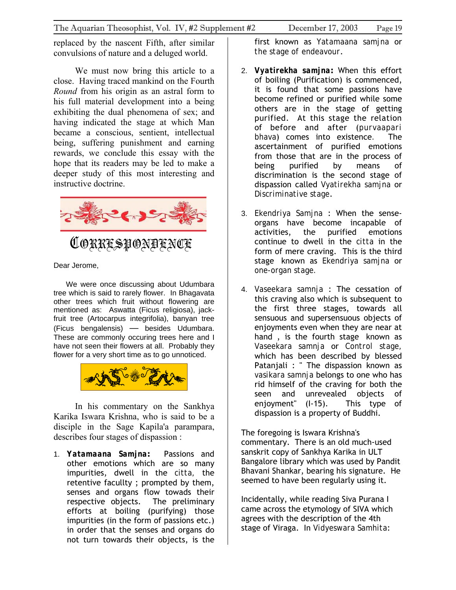<span id="page-18-0"></span>replaced by the nascent Fifth, after similar convulsions of nature and a deluged world.

We must now bring this article to a close. Having traced mankind on the Fourth *Round* from his origin as an astral form to his full material development into a being exhibiting the dual phenomena of sex; and having indicated the stage at which Man became a conscious, sentient, intellectual being, suffering punishment and earning rewards, we conclude this essay with the hope that its readers may be led to make a deeper study of this most interesting and instructive doctrine.



CORRESPONDENCE

Dear Jerome,

 We were once discussing about Udumbara tree which is said to rarely flower. In Bhagavata other trees which fruit without flowering are mentioned as: Aswatta (Ficus religiosa), jackfruit tree (Artocarpus integrifolia), banyan tree (Ficus bengalensis) — besides Udumbara. These are commonly occuring trees here and I have not seen their flowers at all. Probably they flower for a very short time as to go unnoticed.



In his commentary on the Sankhya Karika Iswara Krishna, who is said to be a disciple in the Sage Kapila'a parampara, describes four stages of dispassion :

1. *Yatamaana Samjna***:** Passions and other emotions which are so many impurities, dwell in the *citta,* the retentive facullty ; prompted by them, senses and organs flow towads their respective objects. The preliminary efforts at boiling (purifying) those impurities (in the form of passions etc.) in order that the senses and organs do not turn towards their objects, is the

first known as *Yatamaana samjna* or *the stage of endeavour*.

- 2. *Vyatirekha samjna***:** When this effort of boiling (Purification) is commenced, it is found that some passions have become refined or purified while some others are in the stage of getting purified. At this stage the relation of before and after (*purvaapari bhava*) comes into existence*.* The ascertainment of purified emotions from those that are in the process of being purified by means of discrimination is the second stage of dispassion called *Vyatirekha samjna* or *Discriminative stage*.
- 3. *Ekendriya Samjna* : When the senseorgans have become incapable of activities, the purified emotions continue to dwell in the *citta* in the form of mere craving. This is the third stage known as *Ekendriya samjna* or *one-organ stage.*
- 4. *Vaseekara samnja* : The cessation of this craving also which is subsequent to the first three stages, towards all sensuous and supersensuous objects of enjoyments even when they are near at hand , is the fourth stage known as *Vaseekara samnja* or *Control stage,* which has been described by blessed Patanjali : " The dispassion known as *vasikara samnja* belongs to one who has rid himself of the craving for both the seen and unrevealed objects of enjoyment" (I-15). This type of dispassion is a property of Buddhi.

The foregoing is Iswara Krishna's commentary. There is an old much-used sanskrit copy of Sankhya Karika in ULT Bangalore library which was used by Pandit Bhavani Shankar, bearing his signature. He seemed to have been regularly using it.

Incidentally, while reading Siva Purana I came across the etymology of SIVA which agrees with the description of the 4th stage of Viraga. In *Vidyeswara Samhita*: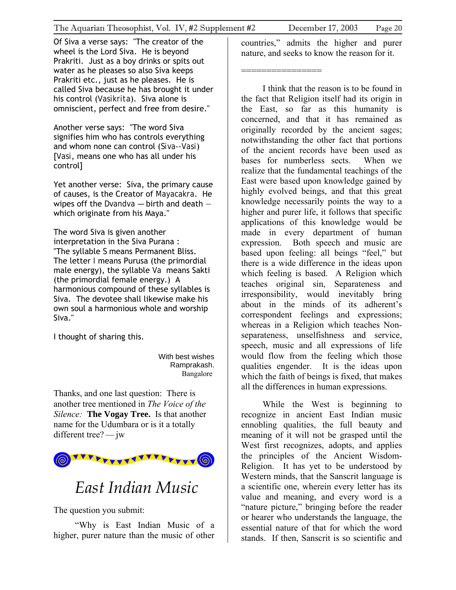<span id="page-19-0"></span>Of Siva a verse says: "The creator of the wheel is the Lord Siva. He is beyond Prakriti. Just as a boy drinks or spits out water as he pleases so also Siva keeps Prakriti etc., just as he pleases. He is called Siva because he has brought it under his control (*Vasikrita*). Siva alone is omniscient, perfect and free from desire."

Another verse says: "The word Siva signifies him who has controls everything and whom none can control (*Siva--Vasi*) [*Vasi*, means one who has all under his control]

Yet another verse: Siva, the primary cause of causes, is the Creator of *Mayacakra*. He wipes off the *Dvandva —* birth and death which originate from his Maya."

The word Siva is given another interpretation in the Siva Purana : "The syllable *S* means Permanent Bliss. The letter *I* means Purusa (the primordial male energy), the syllable *Va* means Sakti (the primordial female energy.) A harmonious compound of these syllables is Siva. The devotee shall likewise make his own soul a harmonious whole and worship Siva."

I thought of sharing this.

With best wishes Ramprakash. Bangalore

Thanks, and one last question: There is another tree mentioned in *The Voice of the Silence:* **The Vogay Tree.** Is that another name for the Udumbara or is it a totally different tree? — jw



### *East Indian Music*

The question you submit:

"Why is East Indian Music of a higher, purer nature than the music of other

countries," admits the higher and purer nature, and seeks to know the reason for it.

================

I think that the reason is to be found in the fact that Religion itself had its origin in the East, so far as this humanity is concerned, and that it has remained as originally recorded by the ancient sages; notwithstanding the other fact that portions of the ancient records have been used as bases for numberless sects. When we realize that the fundamental teachings of the East were based upon knowledge gained by highly evolved beings, and that this great knowledge necessarily points the way to a higher and purer life, it follows that specific applications of this knowledge would be made in every department of human expression. Both speech and music are based upon feeling: all beings "feel," but there is a wide difference in the ideas upon which feeling is based. A Religion which teaches original sin, Separateness and irresponsibility, would inevitably bring about in the minds of its adherent's correspondent feelings and expressions; whereas in a Religion which teaches Nonseparateness, unselfishness and service, speech, music and all expressions of life would flow from the feeling which those qualities engender. It is the ideas upon which the faith of beings is fixed, that makes all the differences in human expressions.

While the West is beginning to recognize in ancient East Indian music ennobling qualities, the full beauty and meaning of it will not be grasped until the West first recognizes, adopts, and applies the principles of the Ancient Wisdom-Religion. It has yet to be understood by Western minds, that the Sanscrit language is a scientific one, wherein every letter has its value and meaning, and every word is a "nature picture," bringing before the reader or hearer who understands the language, the essential nature of that for which the word stands. If then, Sanscrit is so scientific and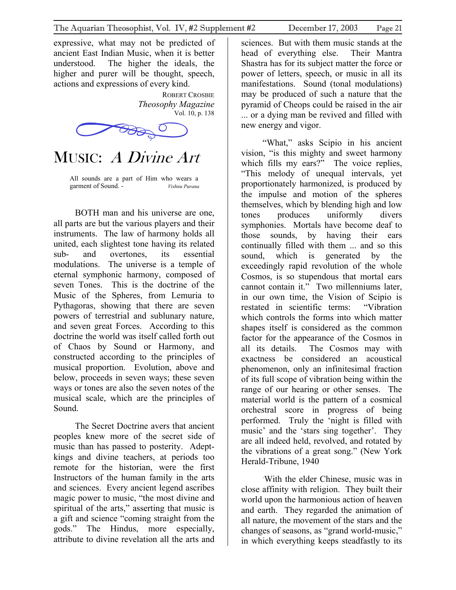<span id="page-20-0"></span>expressive, what may not be predicted of ancient East Indian Music, when it is better understood. The higher the ideals, the higher and purer will be thought, speech, actions and expressions of every kind.

> ROBERT CROSBIE *Theosophy Magazine*  Vol. 10, p. 138



MUSIC: A Divine Art

All sounds are a part of Him who wears a garment of Sound. - *Vishnu Purana*

BOTH man and his universe are one, all parts are but the various players and their instruments. The law of harmony holds all united, each slightest tone having its related sub- and overtones, its essential modulations. The universe is a temple of eternal symphonic harmony, composed of seven Tones. This is the doctrine of the Music of the Spheres, from Lemuria to Pythagoras, showing that there are seven powers of terrestrial and sublunary nature, and seven great Forces. According to this doctrine the world was itself called forth out of Chaos by Sound or Harmony, and constructed according to the principles of musical proportion. Evolution, above and below, proceeds in seven ways; these seven ways or tones are also the seven notes of the musical scale, which are the principles of Sound.

The Secret Doctrine avers that ancient peoples knew more of the secret side of music than has passed to posterity. Adeptkings and divine teachers, at periods too remote for the historian, were the first Instructors of the human family in the arts and sciences. Every ancient legend ascribes magic power to music, "the most divine and spiritual of the arts," asserting that music is a gift and science "coming straight from the gods." The Hindus, more especially, attribute to divine revelation all the arts and

sciences. But with them music stands at the head of everything else. Their Mantra Shastra has for its subject matter the force or power of letters, speech, or music in all its manifestations. Sound (tonal modulations) may be produced of such a nature that the pyramid of Cheops could be raised in the air ... or a dying man be revived and filled with new energy and vigor.

"What," asks Scipio in his ancient vision, "is this mighty and sweet harmony which fills my ears?" The voice replies, "This melody of unequal intervals, yet proportionately harmonized, is produced by the impulse and motion of the spheres themselves, which by blending high and low tones produces uniformly divers symphonies. Mortals have become deaf to those sounds, by having their ears continually filled with them ... and so this sound, which is generated by the exceedingly rapid revolution of the whole Cosmos, is so stupendous that mortal ears cannot contain it." Two millenniums later, in our own time, the Vision of Scipio is restated in scientific terms: "Vibration which controls the forms into which matter shapes itself is considered as the common factor for the appearance of the Cosmos in all its details. The Cosmos may with exactness be considered an acoustical phenomenon, only an infinitesimal fraction of its full scope of vibration being within the range of our hearing or other senses. The material world is the pattern of a cosmical orchestral score in progress of being performed. Truly the 'night is filled with music' and the 'stars sing together'. They are all indeed held, revolved, and rotated by the vibrations of a great song." (New York Herald-Tribune, 1940

. With the elder Chinese, music was in close affinity with religion. They built their world upon the harmonious action of heaven and earth. They regarded the animation of all nature, the movement of the stars and the changes of seasons, as "grand world-music," in which everything keeps steadfastly to its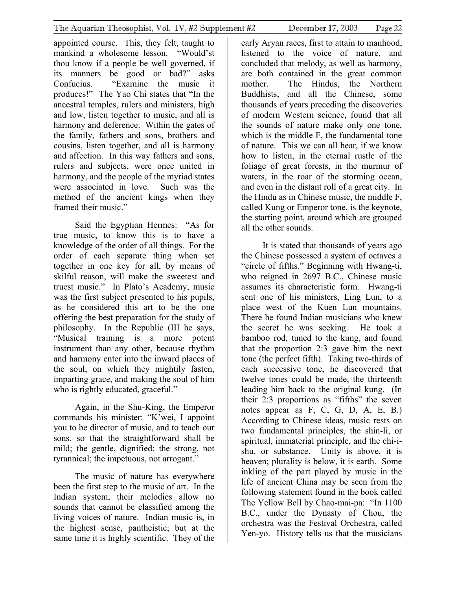appointed course. This, they felt, taught to mankind a wholesome lesson. "Would'st thou know if a people be well governed, if its manners be good or bad?" asks Confucius. "Examine the music it produces!" The Yao Chi states that "In the ancestral temples, rulers and ministers, high and low, listen together to music, and all is harmony and deference. Within the gates of the family, fathers and sons, brothers and cousins, listen together, and all is harmony and affection. In this way fathers and sons, rulers and subjects, were once united in harmony, and the people of the myriad states were associated in love. Such was the method of the ancient kings when they framed their music."

Said the Egyptian Hermes: "As for true music, to know this is to have a knowledge of the order of all things. For the order of each separate thing when set together in one key for all, by means of skilful reason, will make the sweetest and truest music." In Plato's Academy, music was the first subject presented to his pupils, as he considered this art to be the one offering the best preparation for the study of philosophy. In the Republic (III he says, "Musical training is a more potent instrument than any other, because rhythm and harmony enter into the inward places of the soul, on which they mightily fasten, imparting grace, and making the soul of him who is rightly educated, graceful."

Again, in the Shu-King, the Emperor commands his minister: "K'wei, I appoint you to be director of music, and to teach our sons, so that the straightforward shall be mild; the gentle, dignified; the strong, not tyrannical; the impetuous, not arrogant."

The music of nature has everywhere been the first step to the music of art. In the Indian system, their melodies allow no sounds that cannot be classified among the living voices of nature. Indian music is, in the highest sense, pantheistic; but at the same time it is highly scientific. They of the early Aryan races, first to attain to manhood, listened to the voice of nature, and concluded that melody, as well as harmony, are both contained in the great common mother. The Hindus, the Northern Buddhists, and all the Chinese, some thousands of years preceding the discoveries of modern Western science, found that all the sounds of nature make only one tone, which is the middle F, the fundamental tone of nature. This we can all hear, if we know how to listen, in the eternal rustle of the foliage of great forests, in the murmur of waters, in the roar of the storming ocean, and even in the distant roll of a great city. In the Hindu as in Chinese music, the middle F, called Kung or Emperor tone, is the keynote, the starting point, around which are grouped all the other sounds.

It is stated that thousands of years ago the Chinese possessed a system of octaves a "circle of fifths." Beginning with Hwang-ti, who reigned in 2697 B.C., Chinese music assumes its characteristic form. Hwang-ti sent one of his ministers, Ling Lun, to a place west of the Kuen Lun mountains. There he found Indian musicians who knew the secret he was seeking. He took a bamboo rod, tuned to the kung, and found that the proportion 2:3 gave him the next tone (the perfect fifth). Taking two-thirds of each successive tone, he discovered that twelve tones could be made, the thirteenth leading him back to the original kung. (In their 2:3 proportions as "fifths" the seven notes appear as F, C, G, D, A, E, B.) According to Chinese ideas, music rests on two fundamental principles, the shin-li, or spiritual, immaterial principle, and the chi-ishu, or substance. Unity is above, it is heaven; plurality is below, it is earth. Some inkling of the part played by music in the life of ancient China may be seen from the following statement found in the book called The Yellow Bell by Chao-mai-pa: "In 1100 B.C., under the Dynasty of Chou, the orchestra was the Festival Orchestra, called Yen-yo. History tells us that the musicians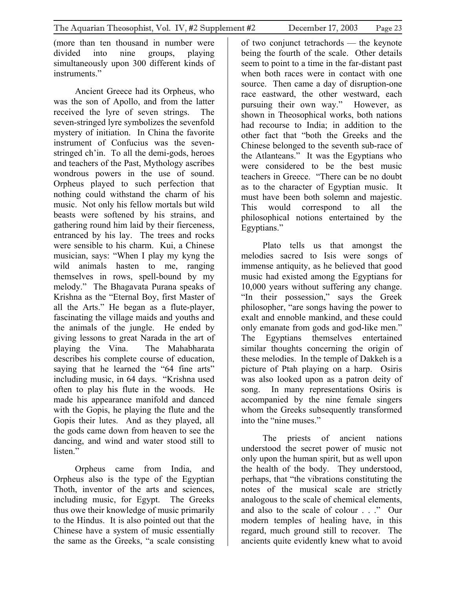(more than ten thousand in number were divided into nine groups, playing simultaneously upon 300 different kinds of instruments."

Ancient Greece had its Orpheus, who was the son of Apollo, and from the latter received the lyre of seven strings. The seven-stringed lyre symbolizes the sevenfold mystery of initiation. In China the favorite instrument of Confucius was the sevenstringed ch'in. To all the demi-gods, heroes and teachers of the Past, Mythology ascribes wondrous powers in the use of sound. Orpheus played to such perfection that nothing could withstand the charm of his music. Not only his fellow mortals but wild beasts were softened by his strains, and gathering round him laid by their fierceness, entranced by his lay. The trees and rocks were sensible to his charm. Kui, a Chinese musician, says: "When I play my kyng the wild animals hasten to me, ranging themselves in rows, spell-bound by my melody." The Bhagavata Purana speaks of Krishna as the "Eternal Boy, first Master of all the Arts." He began as a flute-player, fascinating the village maids and youths and the animals of the jungle. He ended by giving lessons to great Narada in the art of playing the Vina. The Mahabharata describes his complete course of education, saying that he learned the "64 fine arts" including music, in 64 days. "Krishna used often to play his flute in the woods. He made his appearance manifold and danced with the Gopis, he playing the flute and the Gopis their lutes. And as they played, all the gods came down from heaven to see the dancing, and wind and water stood still to listen."

Orpheus came from India, and Orpheus also is the type of the Egyptian Thoth, inventor of the arts and sciences, including music, for Egypt. The Greeks thus owe their knowledge of music primarily to the Hindus. It is also pointed out that the Chinese have a system of music essentially the same as the Greeks, "a scale consisting of two conjunct tetrachords — the keynote being the fourth of the scale. Other details seem to point to a time in the far-distant past when both races were in contact with one source. Then came a day of disruption-one race eastward, the other westward, each pursuing their own way." However, as shown in Theosophical works, both nations had recourse to India; in addition to the other fact that "both the Greeks and the Chinese belonged to the seventh sub-race of the Atlanteans." It was the Egyptians who were considered to be the best music teachers in Greece. "There can be no doubt as to the character of Egyptian music. It must have been both solemn and majestic. This would correspond to all the philosophical notions entertained by the Egyptians."

Plato tells us that amongst the melodies sacred to Isis were songs of immense antiquity, as he believed that good music had existed among the Egyptians for 10,000 years without suffering any change. "In their possession," says the Greek philosopher, "are songs having the power to exalt and ennoble mankind, and these could only emanate from gods and god-like men." The Egyptians themselves entertained similar thoughts concerning the origin of these melodies. In the temple of Dakkeh is a picture of Ptah playing on a harp. Osiris was also looked upon as a patron deity of song. In many representations Osiris is accompanied by the nine female singers whom the Greeks subsequently transformed into the "nine muses."

The priests of ancient nations understood the secret power of music not only upon the human spirit, but as well upon the health of the body. They understood, perhaps, that "the vibrations constituting the notes of the musical scale are strictly analogous to the scale of chemical elements, and also to the scale of colour . . ." Our modern temples of healing have, in this regard, much ground still to recover. The ancients quite evidently knew what to avoid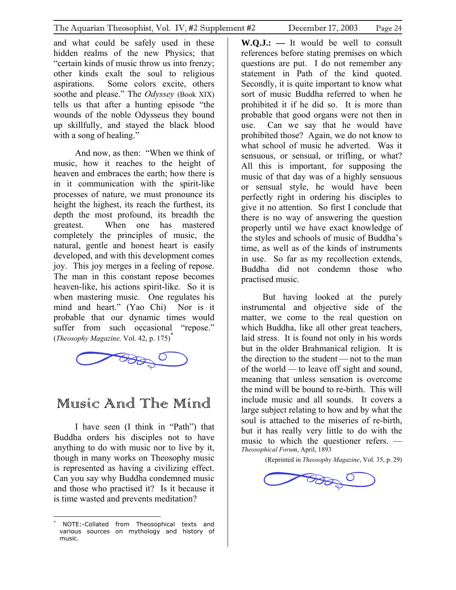<span id="page-23-0"></span>and what could be safely used in these hidden realms of the new Physics; that "certain kinds of music throw us into frenzy; other kinds exalt the soul to religious aspirations. Some colors excite, others soothe and please." The *Odyssey* (Book XIX) tells us that after a hunting episode "the wounds of the noble Odysseus they bound up skillfully, and stayed the black blood with a song of healing."

And now, as then: "When we think of music, how it reaches to the height of heaven and embraces the earth; how there is in it communication with the spirit-like processes of nature, we must pronounce its height the highest, its reach the furthest, its depth the most profound, its breadth the greatest. When one has mastered completely the principles of music, the natural, gentle and honest heart is easily developed, and with this development comes joy. This joy merges in a feeling of repose. The man in this constant repose becomes heaven-like, his actions spirit-like. So it is when mastering music. One regulates his mind and heart." (Yao Chi) Nor is it probable that our dynamic times would suffer from such occasional "repose." (*Theosophy Magazine,* Vol. 42, p. 175) [\\*](#page-23-1)



### Music And The Mind

I have seen (I think in "Path") that Buddha orders his disciples not to have anything to do with music nor to live by it, though in many works on Theosophy music is represented as having a civilizing effect. Can you say why Buddha condemned music and those who practised it? Is it because it is time wasted and prevents meditation?

**W.Q.J.: —** It would be well to consult references before stating premises on which questions are put. I do not remember any statement in Path of the kind quoted. Secondly, it is quite important to know what sort of music Buddha referred to when he prohibited it if he did so. It is more than probable that good organs were not then in use. Can we say that he would have prohibited those? Again, we do not know to what school of music he adverted. Was it sensuous, or sensual, or trifling, or what? All this is important, for supposing the music of that day was of a highly sensuous or sensual style, he would have been perfectly right in ordering his disciples to give it no attention. So first I conclude that there is no way of answering the question properly until we have exact knowledge of the styles and schools of music of Buddha's time, as well as of the kinds of instruments in use. So far as my recollection extends, Buddha did not condemn those who practised music.

But having looked at the purely instrumental and objective side of the matter, we come to the real question on which Buddha, like all other great teachers, laid stress. It is found not only in his words but in the older Brahmanical religion. It is the direction to the student — not to the man of the world — to leave off sight and sound, meaning that unless sensation is overcome the mind will be bound to re-birth. This will include music and all sounds. It covers a large subject relating to how and by what the soul is attached to the miseries of re-birth, but it has really very little to do with the music to which the questioner refers. — *Theosophical Forum*, April, 1893

(Reprinted in *Theosophy Magazine*, Vol. 35, p. 29)



<span id="page-23-1"></span> $\overline{a}$ \* NOTE:-Collated from Theosophical texts and various sources on mythology and history of music.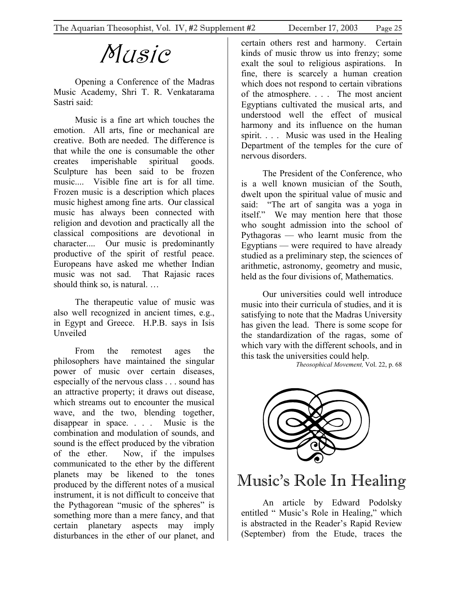# Music

<span id="page-24-0"></span>Opening a Conference of the Madras Music Academy, Shri T. R. Venkatarama Sastri said:

Music is a fine art which touches the emotion. All arts, fine or mechanical are creative. Both are needed. The difference is that while the one is consumable the other creates imperishable spiritual goods. Sculpture has been said to be frozen music.... Visible fine art is for all time. Frozen music is a description which places music highest among fine arts. Our classical music has always been connected with religion and devotion and practically all the classical compositions are devotional in character.... Our music is predominantly productive of the spirit of restful peace. Europeans have asked me whether Indian music was not sad. That Rajasic races should think so, is natural. …

The therapeutic value of music was also well recognized in ancient times, e.g., in Egypt and Greece. H.P.B. says in Isis Unveiled

From the remotest ages the philosophers have maintained the singular power of music over certain diseases, especially of the nervous class . . . sound has an attractive property; it draws out disease, which streams out to encounter the musical wave, and the two, blending together, disappear in space. . . . Music is the combination and modulation of sounds, and sound is the effect produced by the vibration of the ether. Now, if the impulses communicated to the ether by the different planets may be likened to the tones produced by the different notes of a musical instrument, it is not difficult to conceive that the Pythagorean "music of the spheres" is something more than a mere fancy, and that certain planetary aspects may imply disturbances in the ether of our planet, and certain others rest and harmony. Certain kinds of music throw us into frenzy; some exalt the soul to religious aspirations. In fine, there is scarcely a human creation which does not respond to certain vibrations of the atmosphere. . . . The most ancient Egyptians cultivated the musical arts, and understood well the effect of musical harmony and its influence on the human spirit. . . . Music was used in the Healing Department of the temples for the cure of nervous disorders.

The President of the Conference, who is a well known musician of the South, dwelt upon the spiritual value of music and said: "The art of sangita was a yoga in itself." We may mention here that those who sought admission into the school of Pythagoras — who learnt music from the Egyptians — were required to have already studied as a preliminary step, the sciences of arithmetic, astronomy, geometry and music, held as the four divisions of, Mathematics.

Our universities could well introduce music into their curricula of studies, and it is satisfying to note that the Madras University has given the lead. There is some scope for the standardization of the ragas, some of which vary with the different schools, and in this task the universities could help.

*Theosophical Movement,* Vol. 22, p. 68



### Music's Role In Healing

An article by Edward Podolsky entitled " Music's Role in Healing," which is abstracted in the Reader's Rapid Review (September) from the Etude, traces the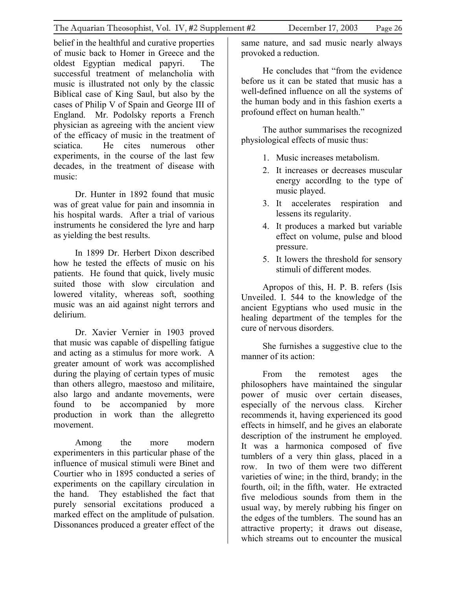belief in the healthful and curative properties of music back to Homer in Greece and the oldest Egyptian medical papyri. The successful treatment of melancholia with music is illustrated not only by the classic Biblical case of King Saul, but also by the cases of Philip V of Spain and George III of England. Mr. Podolsky reports a French physician as agreeing with the ancient view of the efficacy of music in the treatment of sciatica. He cites numerous other experiments, in the course of the last few decades, in the treatment of disease with music:

Dr. Hunter in 1892 found that music was of great value for pain and insomnia in his hospital wards. After a trial of various instruments he considered the lyre and harp as yielding the best results.

In 1899 Dr. Herbert Dixon described how he tested the effects of music on his patients. He found that quick, lively music suited those with slow circulation and lowered vitality, whereas soft, soothing music was an aid against night terrors and delirium.

Dr. Xavier Vernier in 1903 proved that music was capable of dispelling fatigue and acting as a stimulus for more work. A greater amount of work was accomplished during the playing of certain types of music than others allegro, maestoso and militaire, also largo and andante movements, were found to be accompanied by more production in work than the allegretto movement.

Among the more modern experimenters in this particular phase of the influence of musical stimuli were Binet and Courtier who in 1895 conducted a series of experiments on the capillary circulation in the hand. They established the fact that purely sensorial excitations produced a marked effect on the amplitude of pulsation. Dissonances produced a greater effect of the

same nature, and sad music nearly always provoked a reduction.

He concludes that "from the evidence before us it can be stated that music has a well-defined influence on all the systems of the human body and in this fashion exerts a profound effect on human health."

The author summarises the recognized physiological effects of music thus:

- 1. Music increases metabolism.
- 2. It increases or decreases muscular energy accordIng to the type of music played.
- 3. It accelerates respiration and lessens its regularity.
- 4. It produces a marked but variable effect on volume, pulse and blood pressure.
- 5. It lowers the threshold for sensory stimuli of different modes.

Apropos of this, H. P. B. refers (Isis Unveiled. I. 544 to the knowledge of the ancient Egyptians who used music in the healing department of the temples for the cure of nervous disorders.

She furnishes a suggestive clue to the manner of its action:

From the remotest ages the philosophers have maintained the singular power of music over certain diseases, especially of the nervous class. Kircher recommends it, having experienced its good effects in himself, and he gives an elaborate description of the instrument he employed. It was a harmonica composed of five tumblers of a very thin glass, placed in a row. In two of them were two different varieties of wine; in the third, brandy; in the fourth, oil; in the fifth, water. He extracted five melodious sounds from them in the usual way, by merely rubbing his finger on the edges of the tumblers. The sound has an attractive property; it draws out disease, which streams out to encounter the musical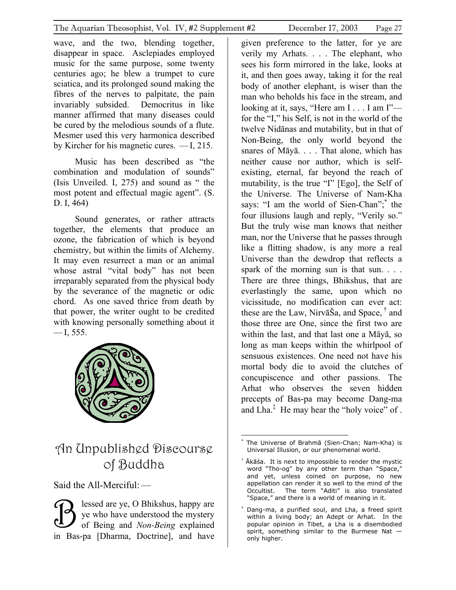<span id="page-26-0"></span>wave, and the two, blending together, disappear in space. Asclepiades employed music for the same purpose, some twenty centuries ago; he blew a trumpet to cure sciatica, and its prolonged sound making the fibres of the nerves to palpitate, the pain invariably subsided. Democritus in like manner affirmed that many diseases could be cured by the melodious sounds of a flute. Mesmer used this very harmonica described by Kircher for his magnetic cures. —I, 215.

Music has been described as "the combination and modulation of sounds" (Isis Unveiled. I, 275) and sound as " the most potent and effectual magic agent". (S. D. I, 464)

Sound generates, or rather attracts together, the elements that produce an ozone, the fabrication of which is beyond chemistry, but within the limits of Alchemy. It may even resurrect a man or an animal whose astral "vital body" has not been irreparably separated from the physical body by the severance of the magnetic or odic chord. As one saved thrice from death by that power, the writer ought to be credited with knowing personally something about it  $-$ I, 555.



### An Unpublished Discourse of Buddha

Said the All-Merciful: —

lessed are ye, O Bhikshus, happy are ye who have understood the mystery of Being and *Non-Being* explained in Bas-pa [Dharma, Doctrine], and have  $\overline{\mathcal{B}}$ 

given preference to the latter, for ye are verily my Arhats. . . . The elephant, who sees his form mirrored in the lake, looks at it, and then goes away, taking it for the real body of another elephant, is wiser than the man who beholds his face in the stream, and looking at it, says, "Here am I . . . I am I"for the "I," his Self, is not in the world of the twelve Nidānas and mutability, but in that of Non-Being, the only world beyond the snares of Māyā. . . . That alone, which has neither cause nor author, which is selfexisting, eternal, far beyond the reach of mutability, is the true "I" [Ego], the Self of the Universe. The Universe of Nam-Kha says: "I am the world of Sien-Chan";<sup>\*</sup> the four illusions laugh and reply, "Verily so." But the truly wise man knows that neither man, nor the Universe that he passes through like a flitting shadow, is any more a real Universe than the dewdrop that reflects a spark of the morning sun is that sun. . . . There are three things, Bhikshus, that are everlastingly the same, upon which no vicissitude, no modification can ever act: these are the Law, NirvāŠa, and Space,  $^{\dagger}$  and those three are One, since the first two are within the last, and that last one a Māyā, so long as man keeps within the whirlpool of sensuous existences. One need not have his mortal body die to avoid the clutches of concupiscence and other passions. The Arhat who observes the seven hidden precepts of Bas-pa may become Dang-ma and Lha[.‡](#page-26-3) He may hear the "holy voice" of .

<span id="page-26-1"></span><sup>&</sup>lt;u>.</u> \* The Universe of Brahmā (Sien-Chan; Nam-Kha) is Universal Illusion, or our phenomenal world.

<span id="page-26-2"></span> $^{\dagger}$  Ākāśa. It is next to impossible to render the mystic word "Tho-og" by any other term than "Space," and yet, unless coined on purpose, no new appellation can render it so well to the mind of the Occultist. The term "Aditi" is also translated "Space," and there is a world of meaning in it.

<span id="page-26-3"></span><sup>‡</sup> Dang-ma, a purified soul, and Lha, a freed spirit within a living body; an Adept or Arhat. In the popular opinion in Tibet, a Lha is a disembodied spirit, something similar to the Burmese Nat only higher.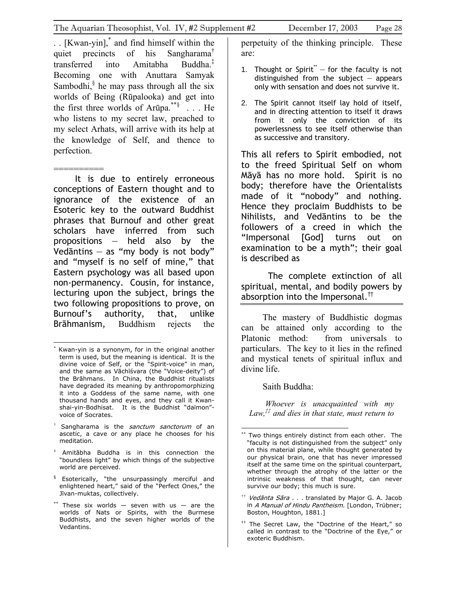. . [Kwan-yin],[\\*](#page-27-0) and find himself within the quiet precincts of his Sangharama[†](#page-27-1) transferred into Amitabha Buddha. $\frac{1}{x}$ Becoming one with Anuttara Samyak Sambodhi, $§$  he may pass through all the six worlds of Being (Rūpalooka) and get into the first three worlds of Arūpa.<sup>\*\*§</sup>  $\ldots$  He who listens to my secret law, preached to my select Arhats, will arrive with its help at the knowledge of Self, and thence to perfection.

========== It is due to entirely erroneous conceptions of Eastern thought and to ignorance of the existence of an Esoteric key to the outward Buddhist phrases that Burnouf and other great scholars have inferred from such propositions  $-$  held also by the Vedāntins  $-$  as "my body is not body" and "myself is no self of mine," that Eastern psychology was all based upon non-permanency. Cousin, for instance, lecturing upon the subject, brings the two following propositions to prove, on Burnouf's authority, that, unlike Brāhmanism, Buddhism rejects the

 $\overline{a}$ 

- <span id="page-27-2"></span>‡ Amitābha Buddha is in this connection the "boundless light" by which things of the subjective world are perceived.
- <span id="page-27-3"></span> $§$  Esoterically, "the unsurpassingly merciful and enlightened heart," said of the "Perfect Ones," the Jīvan-muktas, collectively.
- <span id="page-27-5"></span><span id="page-27-4"></span>\*\* These six worlds  $-$  seven with us  $-$  are the worlds of Nats or Spirits, with the Burmese Buddhists, and the seven higher worlds of the Vedantins.

perpetuity of the thinking principle. These are:

- 1. Thought or Spirit[\\*\\*](#page-27-6)  $-$  for the faculty is not distinguished from the subject  $-$  appears only with sensation and does not survive it.
- 2. The Spirit cannot itself lay hold of itself, and in directing attention to itself it draws from it only the conviction of its powerlessness to see itself otherwise than as successive and transitory.

This all refers to Spirit embodied, not to the freed Spiritual Self on whom Māyā has no more hold. Spirit is no body; therefore have the Orientalists made of it "nobody" and nothing. Hence they proclaim Buddhists to be Nihilists, and Vedāntins to be the followers of a creed in which the "Impersonal [God] turns out on examination to be a myth"; their goal is described as

 The complete extinction of all spiritual, mental, and bodily powers by absorption into the Impersonal.<sup>[††](#page-27-7)</sup>

The mastery of Buddhistic dogmas can be attained only according to the Platonic method: from universals to particulars. The key to it lies in the refined and mystical tenets of spiritual influx and divine life.

Saith Buddha:

*Whoever is unacquainted with my Law,[‡‡](#page-27-8) and dies in that state, must return to* 

<span id="page-27-7"></span> $^{\dagger\dagger}$  *Vedānta Sāra . . .* translated by Major G. A. Jacob in A Manual of Hindu Pantheism. [London, Trübner; Boston, Houghton, 1881.]

<span id="page-27-0"></span><sup>\*</sup> Kwan-yin is a synonym, for in the original another term is used, but the meaning is identical. It is the divine voice of Self, or the "Spirit-voice" in man, and the same as Vāchīśvara (the "Voice-deity") of the Brāhmans. In China, the Buddhist ritualists have degraded its meaning by anthropomorphizing it into a Goddess of the same name, with one thousand hands and eyes, and they call it Kwanshai-yin-Bodhisat. It is the Buddhist "daïmon" voice of Socrates.

<span id="page-27-1"></span><sup>&</sup>lt;sup>+</sup> Sangharama is the *sanctum sanctorum* of an ascetic, a cave or any place he chooses for his meditation.

<span id="page-27-6"></span> $\overline{a}$ Two things entirely distinct from each other. The "faculty is not distinguished from the subject" only on this material plane, while thought generated by our physical brain, one that has never impressed itself at the same time on the spiritual counterpart, whether through the atrophy of the latter or the intrinsic weakness of that thought, can never survive our body; this much is sure.

<span id="page-27-8"></span> $**$  The Secret Law, the "Doctrine of the Heart," so called in contrast to the "Doctrine of the Eye," or exoteric Buddhism.